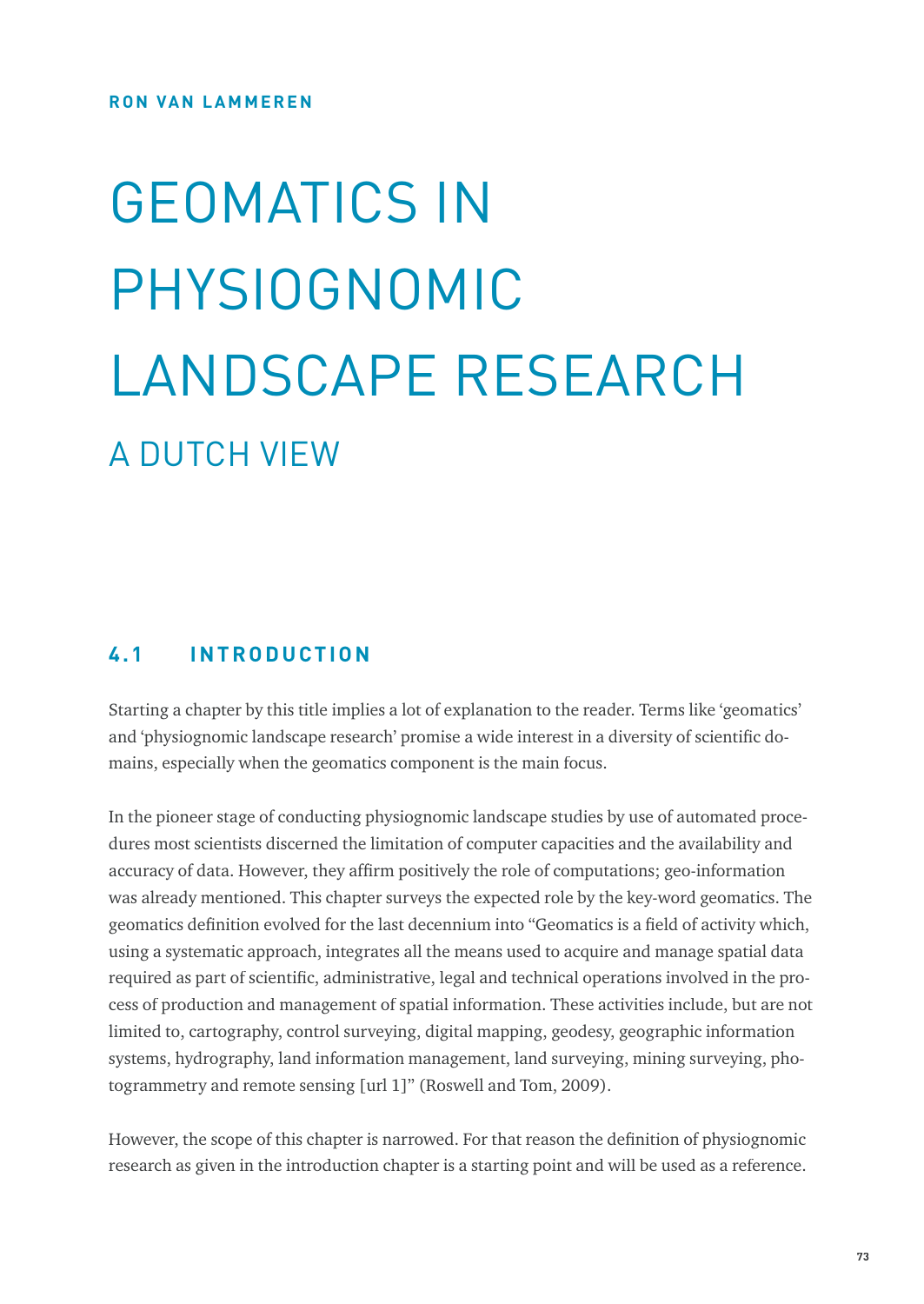# GEOMATICS IN PHYSIOGNOMIC LANDSCAPE RESEARCH A DUTCH VIEW

# **4 . 1 I N T R O D U CT I O N**

Starting a chapter by this title implies a lot of explanation to the reader. Terms like 'geomatics' and 'physiognomic landscape research' promise a wide interest in a diversity of scientific domains, especially when the geomatics component is the main focus.

In the pioneer stage of conducting physiognomic landscape studies by use of automated procedures most scientists discerned the limitation of computer capacities and the availability and accuracy of data. However, they affirm positively the role of computations; geo-information was already mentioned. This chapter surveys the expected role by the key-word geomatics. The geomatics definition evolved for the last decennium into "Geomatics is a field of activity which, using a systematic approach, integrates all the means used to acquire and manage spatial data required as part of scientific, administrative, legal and technical operations involved in the process of production and management of spatial information. These activities include, but are not limited to, cartography, control surveying, digital mapping, geodesy, geographic information systems, hydrography, land information management, land surveying, mining surveying, photogrammetry and remote sensing [url 1]" (Roswell and Tom, 2009).

However, the scope of this chapter is narrowed. For that reason the definition of physiognomic research as given in the introduction chapter is a starting point and will be used as a reference.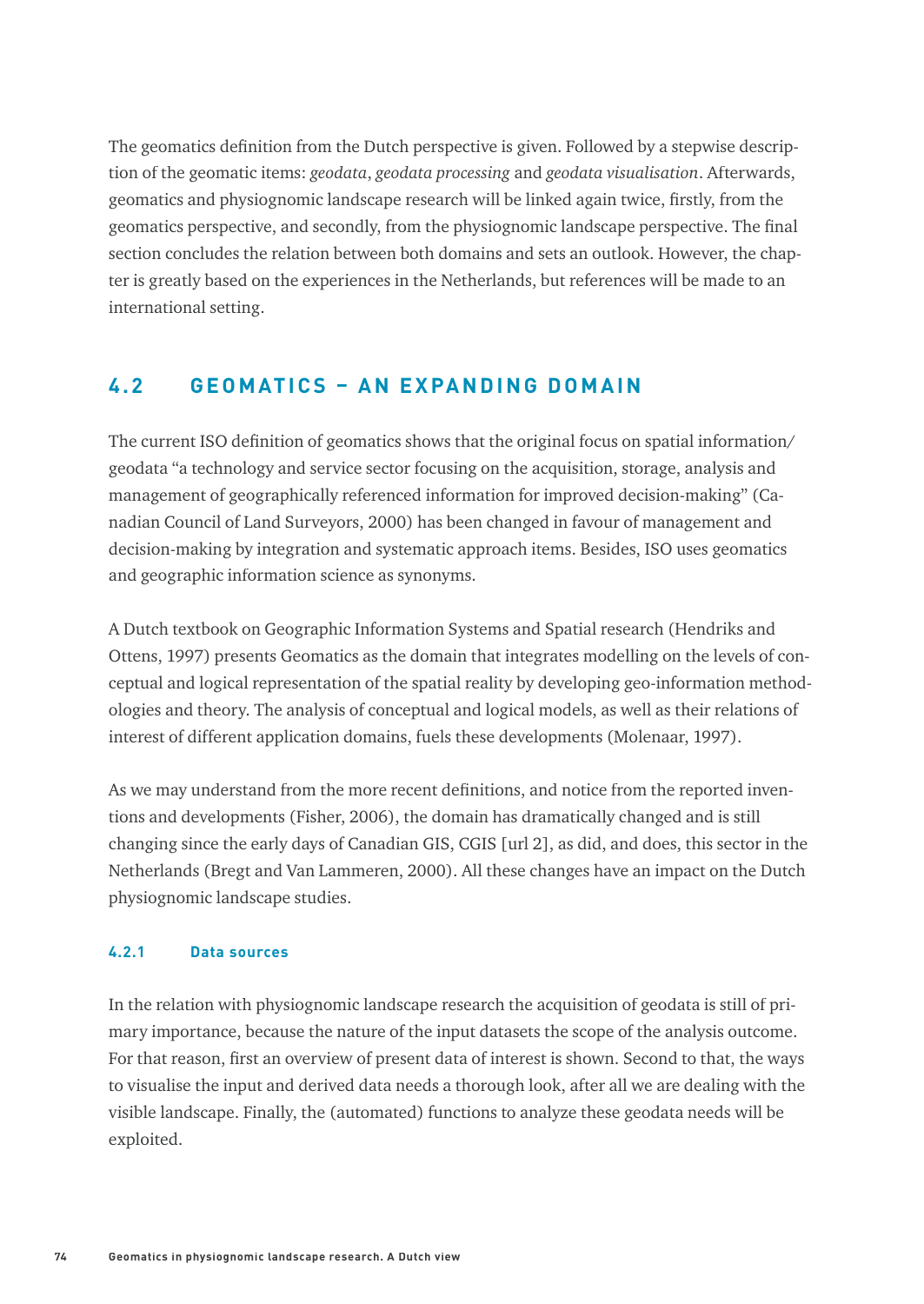The geomatics definition from the Dutch perspective is given. Followed by a stepwise description of the geomatic items: *geodata*, *geodata processing* and *geodata visualisation*. Afterwards, geomatics and physiognomic landscape research will be linked again twice, firstly, from the geomatics perspective, and secondly, from the physiognomic landscape perspective. The final section concludes the relation between both domains and sets an outlook. However, the chapter is greatly based on the experiences in the Netherlands, but references will be made to an international setting.

# **4.2 GEOMATICS – AN EXPANDING DOMAIN**

The current ISO definition of geomatics shows that the original focus on spatial information/ geodata "a technology and service sector focusing on the acquisition, storage, analysis and management of geographically referenced information for improved decision-making" (Canadian Council of Land Surveyors, 2000) has been changed in favour of management and decision-making by integration and systematic approach items. Besides, ISO uses geomatics and geographic information science as synonyms.

A Dutch textbook on Geographic Information Systems and Spatial research (Hendriks and Ottens, 1997) presents Geomatics as the domain that integrates modelling on the levels of conceptual and logical representation of the spatial reality by developing geo-information methodologies and theory. The analysis of conceptual and logical models, as well as their relations of interest of different application domains, fuels these developments (Molenaar, 1997).

As we may understand from the more recent definitions, and notice from the reported inventions and developments (Fisher, 2006), the domain has dramatically changed and is still changing since the early days of Canadian GIS, CGIS [url 2], as did, and does, this sector in the Netherlands (Bregt and Van Lammeren, 2000). All these changes have an impact on the Dutch physiognomic landscape studies.

# **4.2.1 Data sources**

In the relation with physiognomic landscape research the acquisition of geodata is still of primary importance, because the nature of the input datasets the scope of the analysis outcome. For that reason, first an overview of present data of interest is shown. Second to that, the ways to visualise the input and derived data needs a thorough look, after all we are dealing with the visible landscape. Finally, the (automated) functions to analyze these geodata needs will be exploited.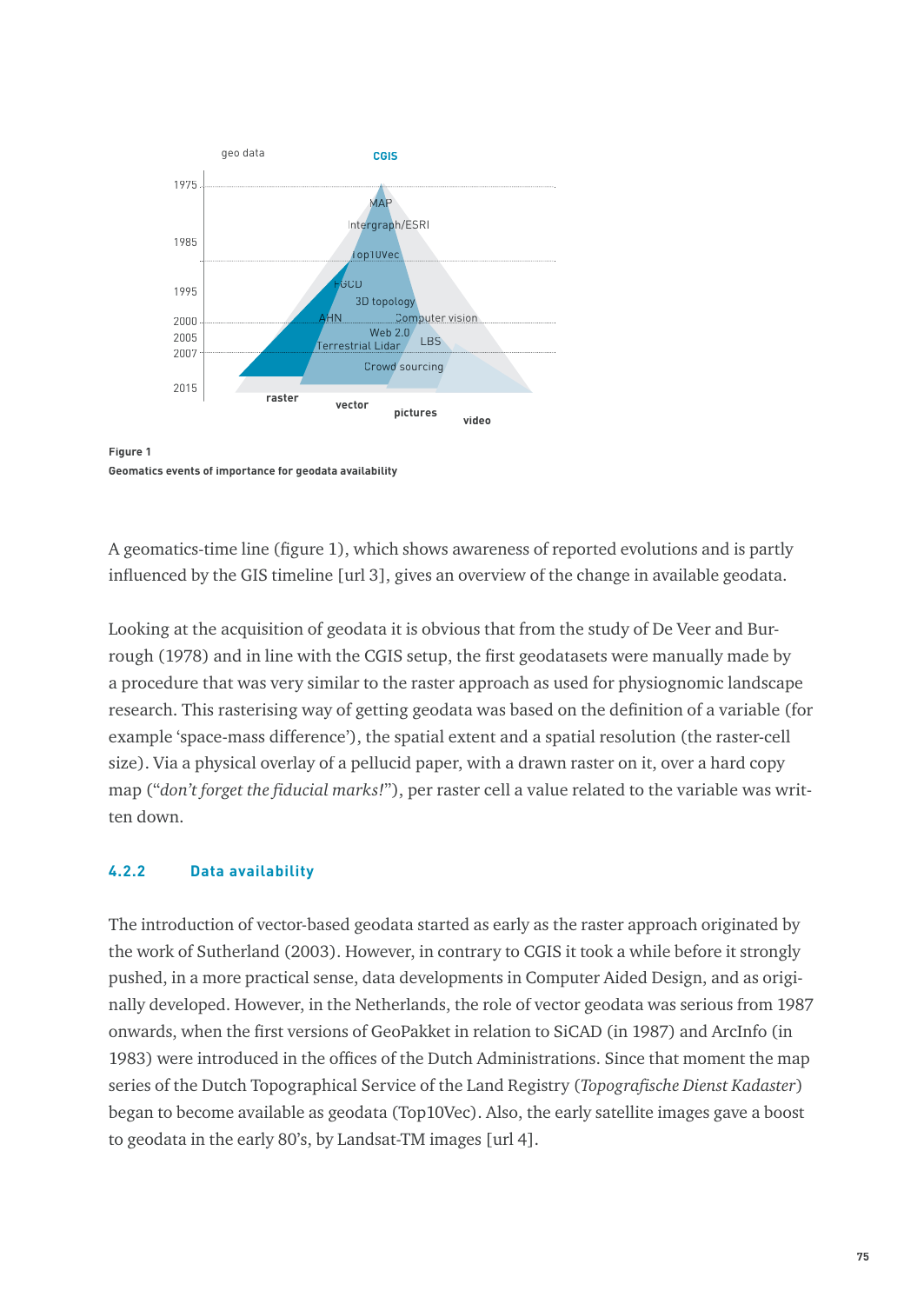



A geomatics-time line (figure 1), which shows awareness of reported evolutions and is partly influenced by the GIS timeline [url 3], gives an overview of the change in available geodata.

Looking at the acquisition of geodata it is obvious that from the study of De Veer and Burrough (1978) and in line with the CGIS setup, the first geodatasets were manually made by a procedure that was very similar to the raster approach as used for physiognomic landscape research. This rasterising way of getting geodata was based on the definition of a variable (for example 'space-mass difference'), the spatial extent and a spatial resolution (the raster-cell size). Via a physical overlay of a pellucid paper, with a drawn raster on it, over a hard copy map ("don't forget the fiducial marks!"), per raster cell a value related to the variable was written down.

# **4.2.2 Data availability**

The introduction of vector-based geodata started as early as the raster approach originated by the work of Sutherland (2003). However, in contrary to CGIS it took a while before it strongly pushed, in a more practical sense, data developments in Computer Aided Design, and as originally developed. However, in the Netherlands, the role of vector geodata was serious from 1987 onwards, when the first versions of GeoPakket in relation to SiCAD (in 1987) and ArcInfo (in 1983) were introduced in the offices of the Dutch Administrations. Since that moment the map series of the Dutch Topographical Service of the Land Registry (*Topografische Dienst Kadaster*) began to become available as geodata (Top10Vec). Also, the early satellite images gave a boost to geodata in the early 80's, by Landsat-TM images [url 4].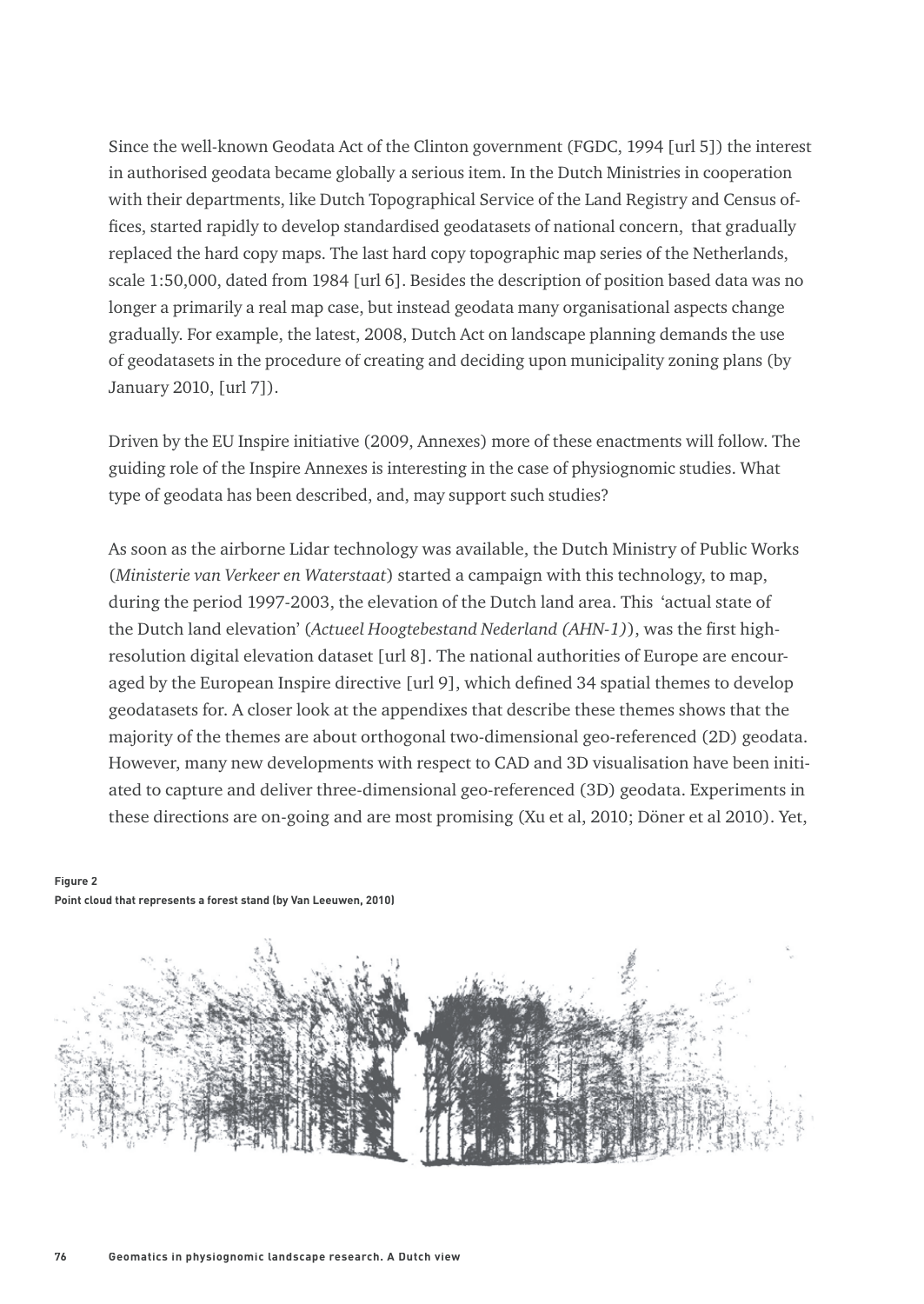Since the well-known Geodata Act of the Clinton government (FGDC, 1994 [url 5]) the interest in authorised geodata became globally a serious item. In the Dutch Ministries in cooperation with their departments, like Dutch Topographical Service of the Land Registry and Census offices, started rapidly to develop standardised geodatasets of national concern, that gradually replaced the hard copy maps. The last hard copy topographic map series of the Netherlands, scale 1:50,000, dated from 1984 [url 6]. Besides the description of position based data was no longer a primarily a real map case, but instead geodata many organisational aspects change gradually. For example, the latest, 2008, Dutch Act on landscape planning demands the use of geodatasets in the procedure of creating and deciding upon municipality zoning plans (by January 2010, [url 7]).

Driven by the EU Inspire initiative (2009, Annexes) more of these enactments will follow. The guiding role of the Inspire Annexes is interesting in the case of physiognomic studies. What type of geodata has been described, and, may support such studies?

As soon as the airborne Lidar technology was available, the Dutch Ministry of Public Works (*Ministerie van Verkeer en Waterstaat*) started a campaign with this technology, to map, during the period 1997-2003, the elevation of the Dutch land area. This 'actual state of the Dutch land elevation' (*Actueel Hoogtebestand Nederland (AHN-1)*), was the first highresolution digital elevation dataset [url 8]. The national authorities of Europe are encouraged by the European Inspire directive [url 9], which defined 34 spatial themes to develop geodatasets for. A closer look at the appendixes that describe these themes shows that the majority of the themes are about orthogonal two-dimensional geo-referenced (2D) geodata. However, many new developments with respect to CAD and 3D visualisation have been initiated to capture and deliver three-dimensional geo-referenced (3D) geodata. Experiments in these directions are on-going and are most promising (Xu et al, 2010; Döner et al 2010). Yet,

### **Figure 2 Point cloud that represents a forest stand (by Van Leeuwen, 2010)**

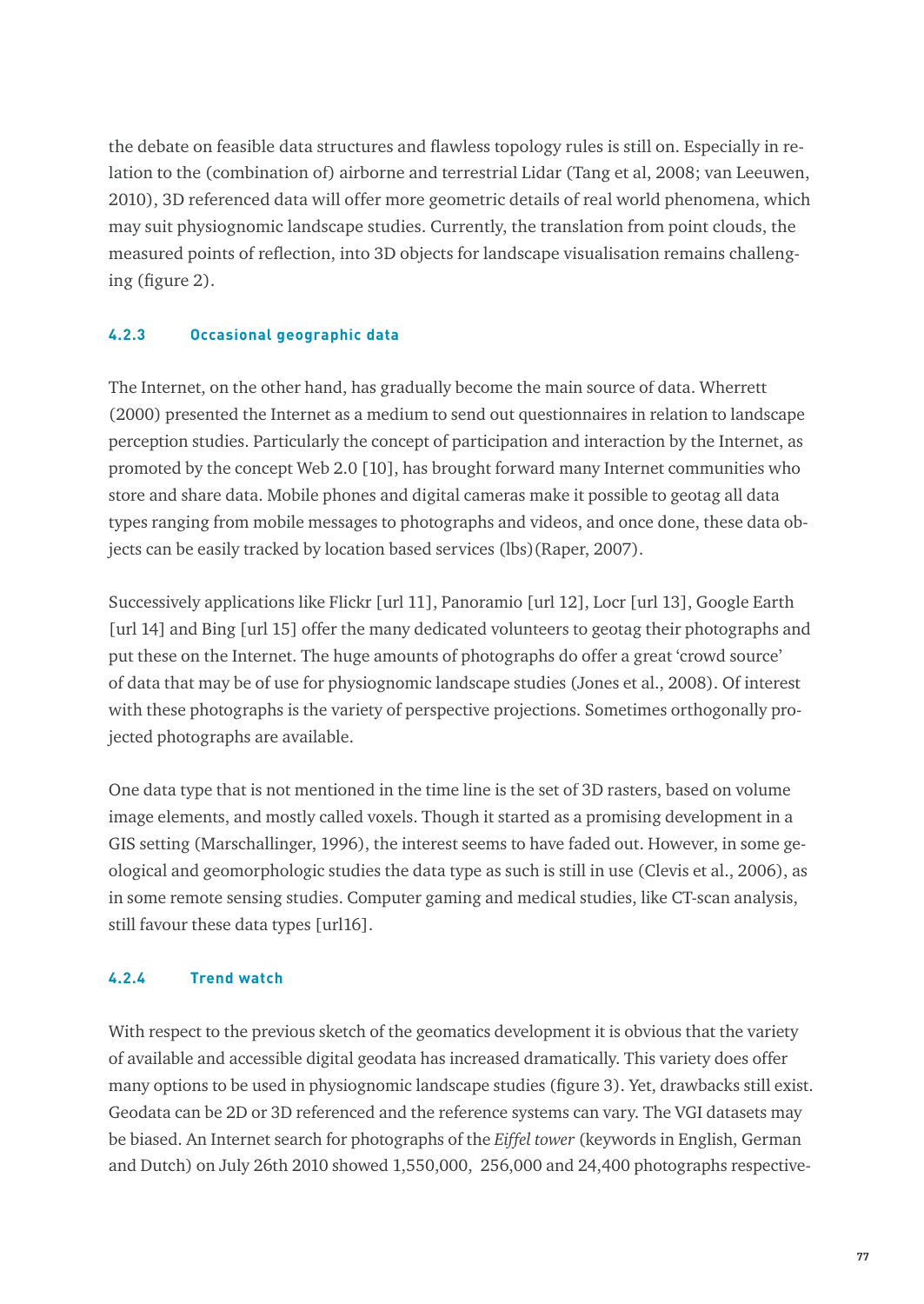the debate on feasible data structures and flawless topology rules is still on. Especially in relation to the (combination of) airborne and terrestrial Lidar (Tang et al, 2008; van Leeuwen, 2010), 3D referenced data will offer more geometric details of real world phenomena, which may suit physiognomic landscape studies. Currently, the translation from point clouds, the measured points of reflection, into 3D objects for landscape visualisation remains challenging (figure 2).

# **4.2.3 Occasional geographic data**

The Internet, on the other hand, has gradually become the main source of data. Wherrett (2000) presented the Internet as a medium to send out questionnaires in relation to landscape perception studies. Particularly the concept of participation and interaction by the Internet, as promoted by the concept Web 2.0 [10], has brought forward many Internet communities who store and share data. Mobile phones and digital cameras make it possible to geotag all data types ranging from mobile messages to photographs and videos, and once done, these data objects can be easily tracked by location based services (lbs)(Raper, 2007).

Successively applications like Flickr [url 11], Panoramio [url 12], Locr [url 13], Google Earth [url 14] and Bing [url 15] offer the many dedicated volunteers to geotag their photographs and put these on the Internet. The huge amounts of photographs do offer a great 'crowd source' of data that may be of use for physiognomic landscape studies (Jones et al., 2008). Of interest with these photographs is the variety of perspective projections. Sometimes orthogonally projected photographs are available.

One data type that is not mentioned in the time line is the set of 3D rasters, based on volume image elements, and mostly called voxels. Though it started as a promising development in a GIS setting (Marschallinger, 1996), the interest seems to have faded out. However, in some geological and geomorphologic studies the data type as such is still in use (Clevis et al., 2006), as in some remote sensing studies. Computer gaming and medical studies, like CT-scan analysis, still favour these data types [url16].

# **4.2.4 Trend watch**

With respect to the previous sketch of the geomatics development it is obvious that the variety of available and accessible digital geodata has increased dramatically. This variety does offer many options to be used in physiognomic landscape studies (figure 3). Yet, drawbacks still exist. Geodata can be 2D or 3D referenced and the reference systems can vary. The VGI datasets may be biased. An Internet search for photographs of the *Eiffel tower* (keywords in English, German and Dutch) on July 26th 2010 showed 1,550,000, 256,000 and 24,400 photographs respective-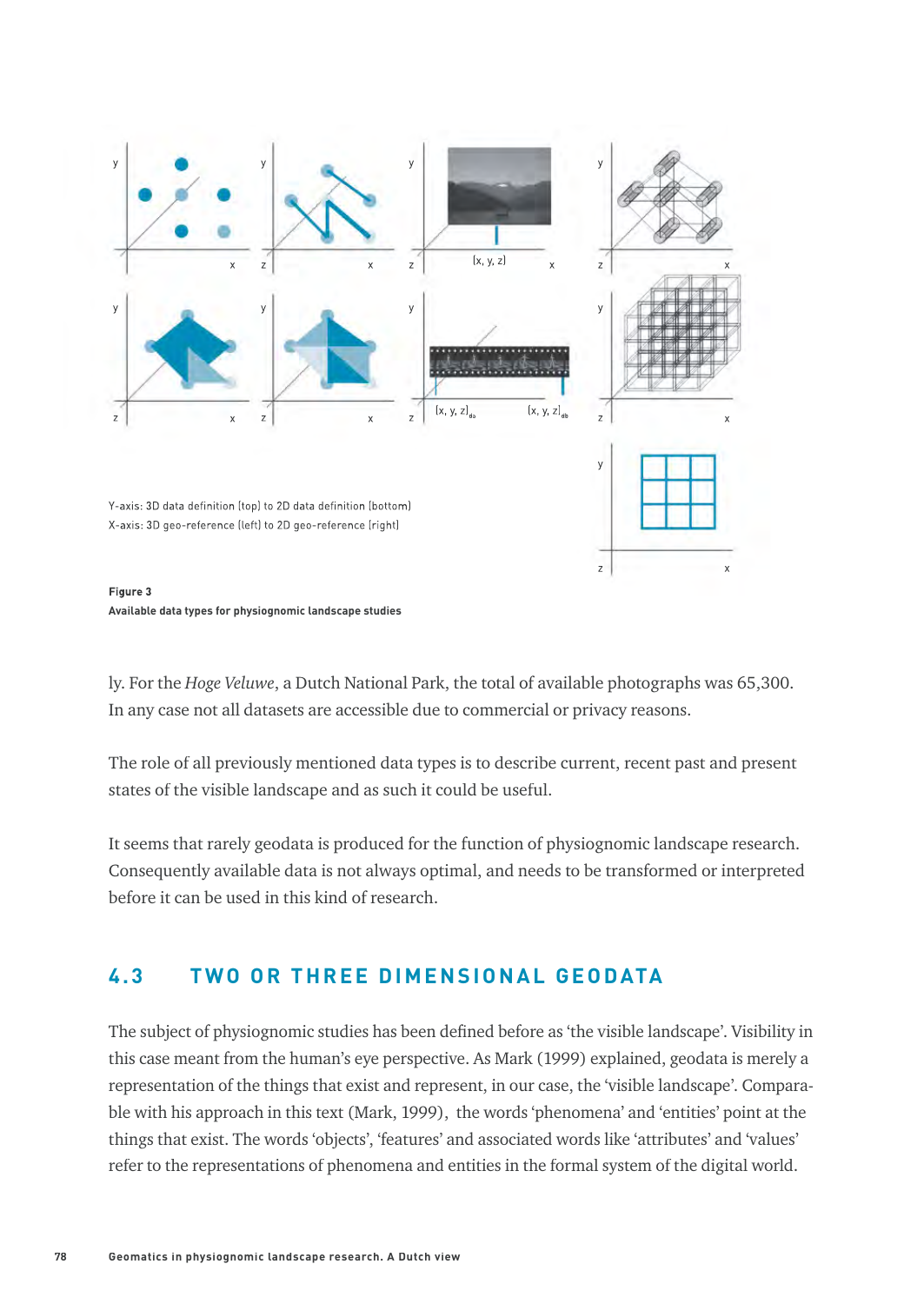

**Available data types for physiognomic landscape studies**

ly. For the *Hoge Veluwe*, a Dutch National Park, the total of available photographs was 65,300. In any case not all datasets are accessible due to commercial or privacy reasons.

The role of all previously mentioned data types is to describe current, recent past and present states of the visible landscape and as such it could be useful.

It seems that rarely geodata is produced for the function of physiognomic landscape research. Consequently available data is not always optimal, and needs to be transformed or interpreted before it can be used in this kind of research.

# **4.3 TWO OR THREE DIMENSIONAL GEODATA**

The subject of physiognomic studies has been defined before as 'the visible landscape'. Visibility in this case meant from the human's eye perspective. As Mark (1999) explained, geodata is merely a representation of the things that exist and represent, in our case, the 'visible landscape'. Comparable with his approach in this text (Mark, 1999), the words 'phenomena' and 'entities' point at the things that exist. The words 'objects', 'features' and associated words like 'attributes' and 'values' refer to the representations of phenomena and entities in the formal system of the digital world.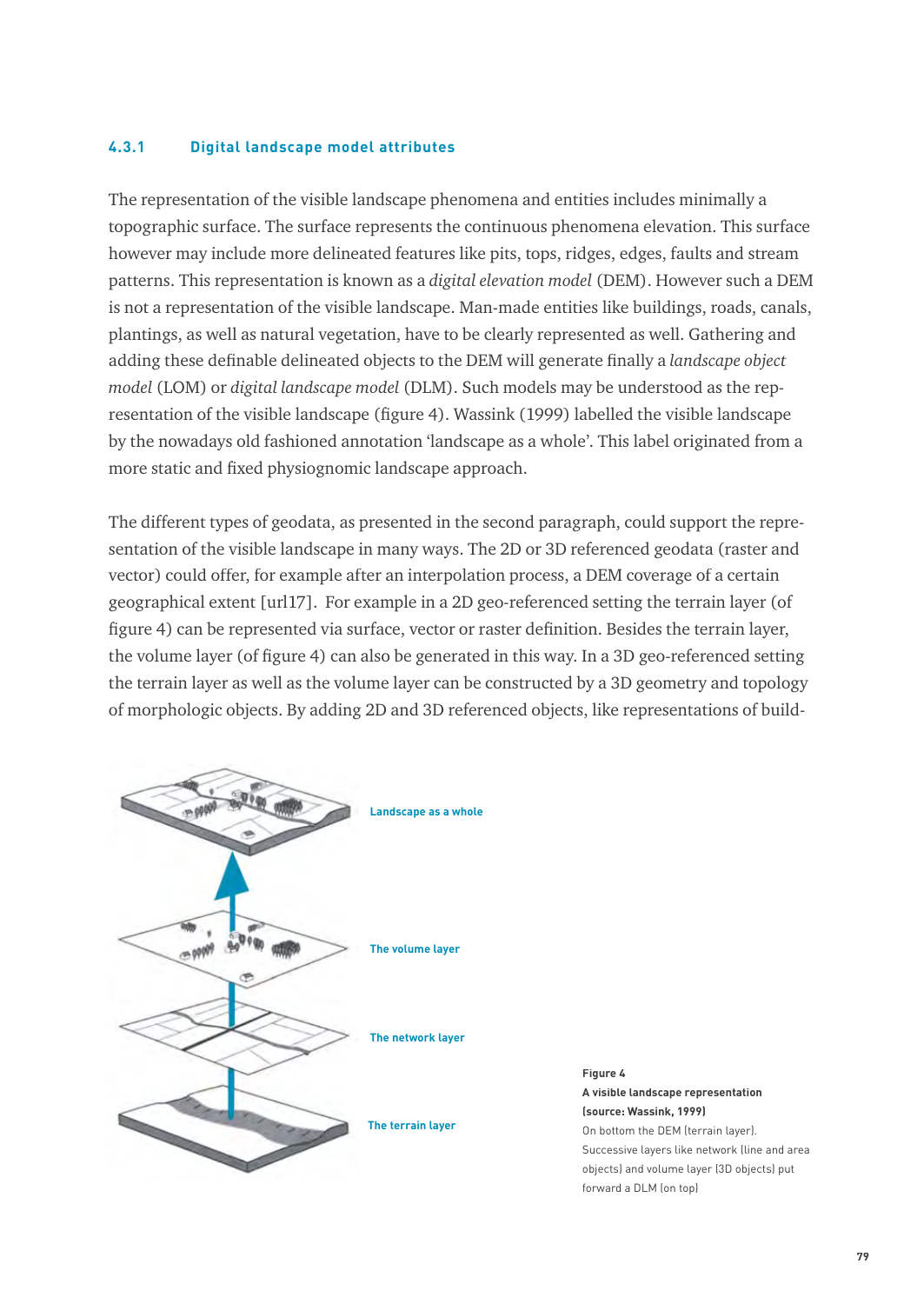# **4.3.1 Digital landscape model attributes**

The representation of the visible landscape phenomena and entities includes minimally a topographic surface. The surface represents the continuous phenomena elevation. This surface however may include more delineated features like pits, tops, ridges, edges, faults and stream patterns. This representation is known as a *digital elevation model* (DEM). However such a DEM is not a representation of the visible landscape. Man-made entities like buildings, roads, canals, plantings, as well as natural vegetation, have to be clearly represented as well. Gathering and adding these definable delineated objects to the DEM will generate finally a *landscape object model* (LOM) or *digital landscape model* (DLM). Such models may be understood as the representation of the visible landscape (figure 4). Wassink (1999) labelled the visible landscape by the nowadays old fashioned annotation 'landscape as a whole'. This label originated from a more static and fixed physiognomic landscape approach.

The different types of geodata, as presented in the second paragraph, could support the representation of the visible landscape in many ways. The 2D or 3D referenced geodata (raster and vector) could offer, for example after an interpolation process, a DEM coverage of a certain geographical extent [url17]. For example in a 2D geo-referenced setting the terrain layer (of figure 4) can be represented via surface, vector or raster definition. Besides the terrain layer, the volume layer (of figure 4) can also be generated in this way. In a 3D geo-referenced setting the terrain layer as well as the volume layer can be constructed by a 3D geometry and topology of morphologic objects. By adding 2D and 3D referenced objects, like representations of build-



**Figure 4 A visible landscape representation (source: Wassink, 1999)**  On bottom the DEM (terrain layer). Successive layers like network (line and area objects) and volume layer (3D objects) put forward a DLM (on top)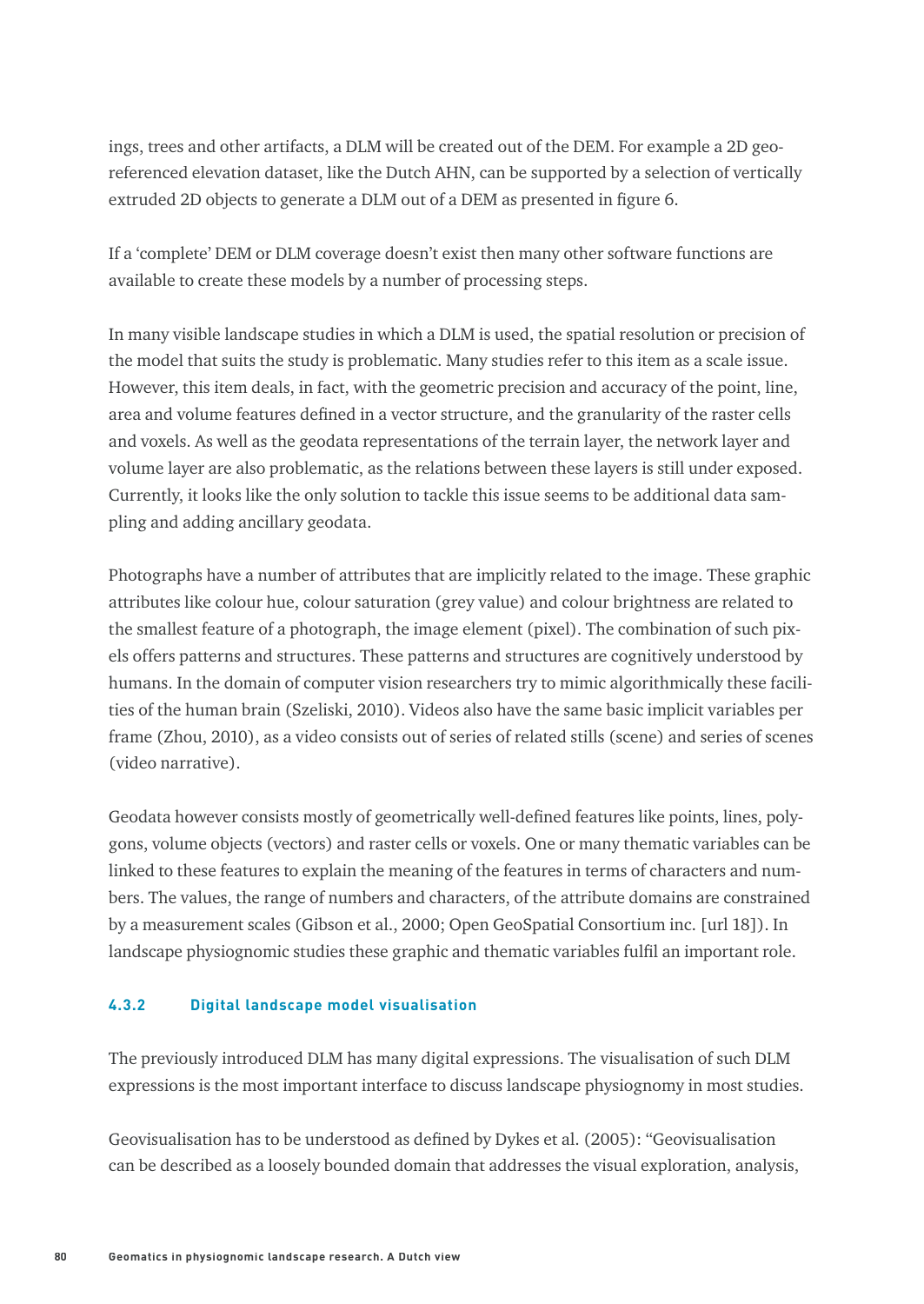ings, trees and other artifacts, a DLM will be created out of the DEM. For example a 2D georeferenced elevation dataset, like the Dutch AHN, can be supported by a selection of vertically extruded 2D objects to generate a DLM out of a DEM as presented in figure 6.

If a 'complete' DEM or DLM coverage doesn't exist then many other software functions are available to create these models by a number of processing steps.

In many visible landscape studies in which a DLM is used, the spatial resolution or precision of the model that suits the study is problematic. Many studies refer to this item as a scale issue. However, this item deals, in fact, with the geometric precision and accuracy of the point, line, area and volume features defined in a vector structure, and the granularity of the raster cells and voxels. As well as the geodata representations of the terrain layer, the network layer and volume layer are also problematic, as the relations between these layers is still under exposed. Currently, it looks like the only solution to tackle this issue seems to be additional data sampling and adding ancillary geodata.

Photographs have a number of attributes that are implicitly related to the image. These graphic attributes like colour hue, colour saturation (grey value) and colour brightness are related to the smallest feature of a photograph, the image element (pixel). The combination of such pixels offers patterns and structures. These patterns and structures are cognitively understood by humans. In the domain of computer vision researchers try to mimic algorithmically these facilities of the human brain (Szeliski, 2010). Videos also have the same basic implicit variables per frame (Zhou, 2010), as a video consists out of series of related stills (scene) and series of scenes (video narrative).

Geodata however consists mostly of geometrically well-defined features like points, lines, polygons, volume objects (vectors) and raster cells or voxels. One or many thematic variables can be linked to these features to explain the meaning of the features in terms of characters and numbers. The values, the range of numbers and characters, of the attribute domains are constrained by a measurement scales (Gibson et al., 2000; Open GeoSpatial Consortium inc. [url 18]). In landscape physiognomic studies these graphic and thematic variables fulfil an important role.

## **4.3.2 Digital landscape model visualisation**

The previously introduced DLM has many digital expressions. The visualisation of such DLM expressions is the most important interface to discuss landscape physiognomy in most studies.

Geovisualisation has to be understood as defined by Dykes et al. (2005): "Geovisualisation can be described as a loosely bounded domain that addresses the visual exploration, analysis,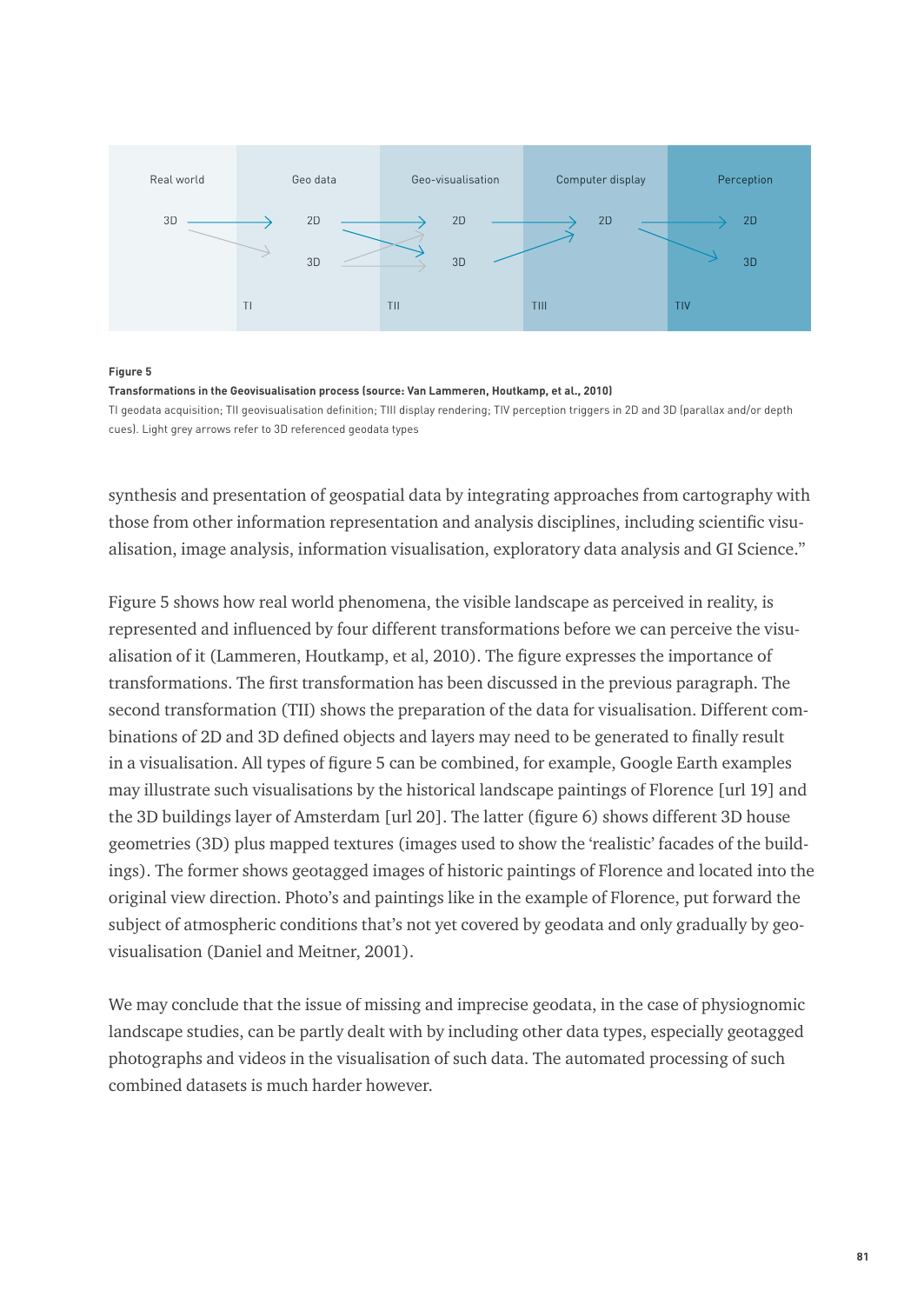

#### **Figure 5**

#### **Transformations in the Geovisualisation process (source: Van Lammeren, Houtkamp, et al., 2010)**

TI geodata acquisition; TII geovisualisation definition; TIII display rendering; TIV perception triggers in 2D and 3D (parallax and/or depth cues). Light grey arrows refer to 3D referenced geodata types

synthesis and presentation of geospatial data by integrating approaches from cartography with those from other information representation and analysis disciplines, including scientific visualisation, image analysis, information visualisation, exploratory data analysis and GI Science."

Figure 5 shows how real world phenomena, the visible landscape as perceived in reality, is represented and influenced by four different transformations before we can perceive the visualisation of it (Lammeren, Houtkamp, et al, 2010). The figure expresses the importance of transformations. The first transformation has been discussed in the previous paragraph. The second transformation (TII) shows the preparation of the data for visualisation. Different combinations of 2D and 3D defined objects and layers may need to be generated to finally result in a visualisation. All types of figure 5 can be combined, for example, Google Earth examples may illustrate such visualisations by the historical landscape paintings of Florence [url 19] and the 3D buildings layer of Amsterdam [url 20]. The latter (figure 6) shows different 3D house geometries (3D) plus mapped textures (images used to show the 'realistic' facades of the buildings). The former shows geotagged images of historic paintings of Florence and located into the original view direction. Photo's and paintings like in the example of Florence, put forward the subject of atmospheric conditions that's not yet covered by geodata and only gradually by geovisualisation (Daniel and Meitner, 2001).

We may conclude that the issue of missing and imprecise geodata, in the case of physiognomic landscape studies, can be partly dealt with by including other data types, especially geotagged photographs and videos in the visualisation of such data. The automated processing of such combined datasets is much harder however.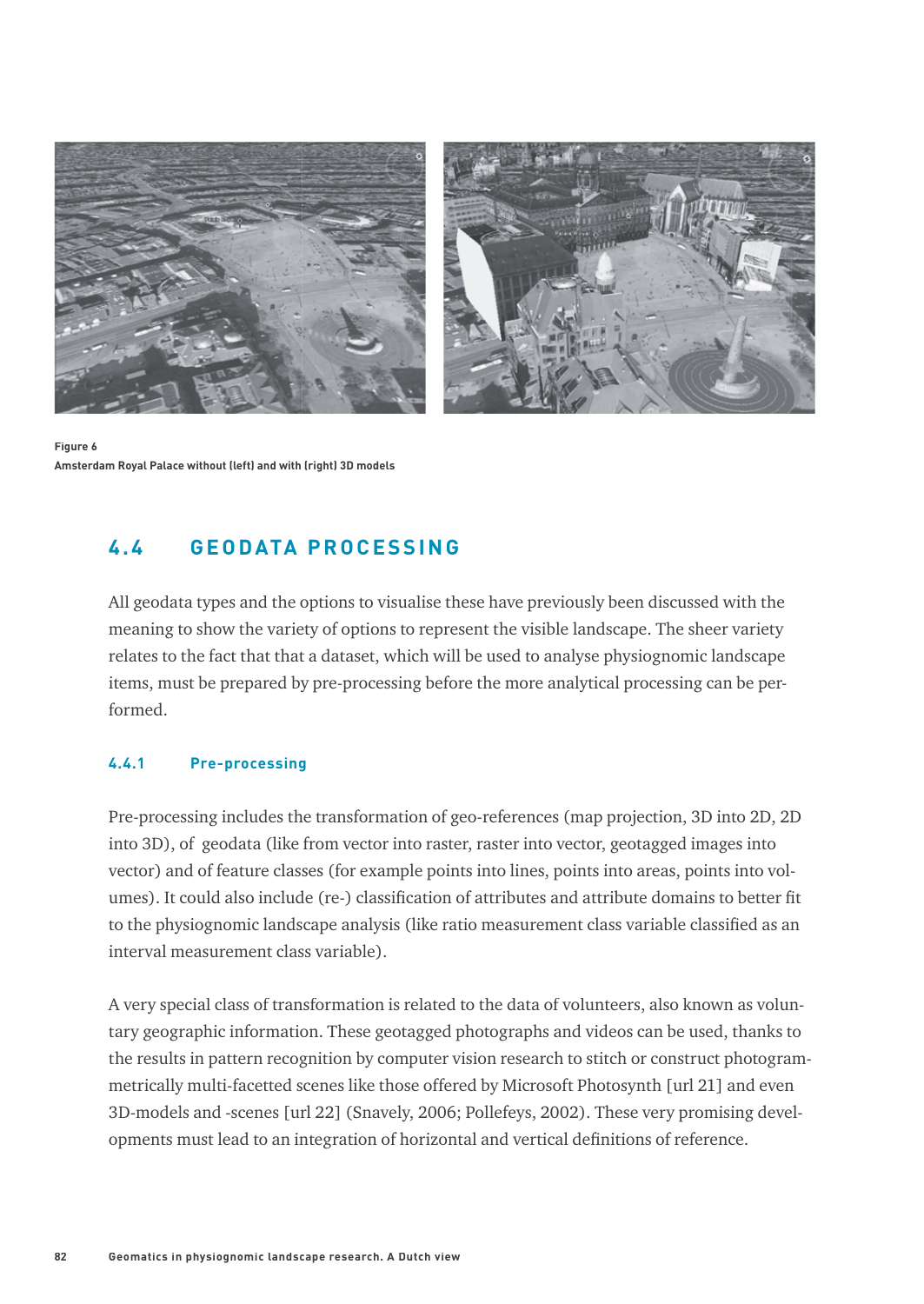



# **4.4 GEODATA PROCESSING**

All geodata types and the options to visualise these have previously been discussed with the meaning to show the variety of options to represent the visible landscape. The sheer variety relates to the fact that that a dataset, which will be used to analyse physiognomic landscape items, must be prepared by pre-processing before the more analytical processing can be performed.

# **4.4.1 Pre-processing**

Pre-processing includes the transformation of geo-references (map projection, 3D into 2D, 2D into 3D), of geodata (like from vector into raster, raster into vector, geotagged images into vector) and of feature classes (for example points into lines, points into areas, points into volumes). It could also include (re-) classification of attributes and attribute domains to better fit to the physiognomic landscape analysis (like ratio measurement class variable classified as an interval measurement class variable).

A very special class of transformation is related to the data of volunteers, also known as voluntary geographic information. These geotagged photographs and videos can be used, thanks to the results in pattern recognition by computer vision research to stitch or construct photogrammetrically multi-facetted scenes like those offered by Microsoft Photosynth [url 21] and even 3D-models and -scenes [url 22] (Snavely, 2006; Pollefeys, 2002). These very promising developments must lead to an integration of horizontal and vertical definitions of reference.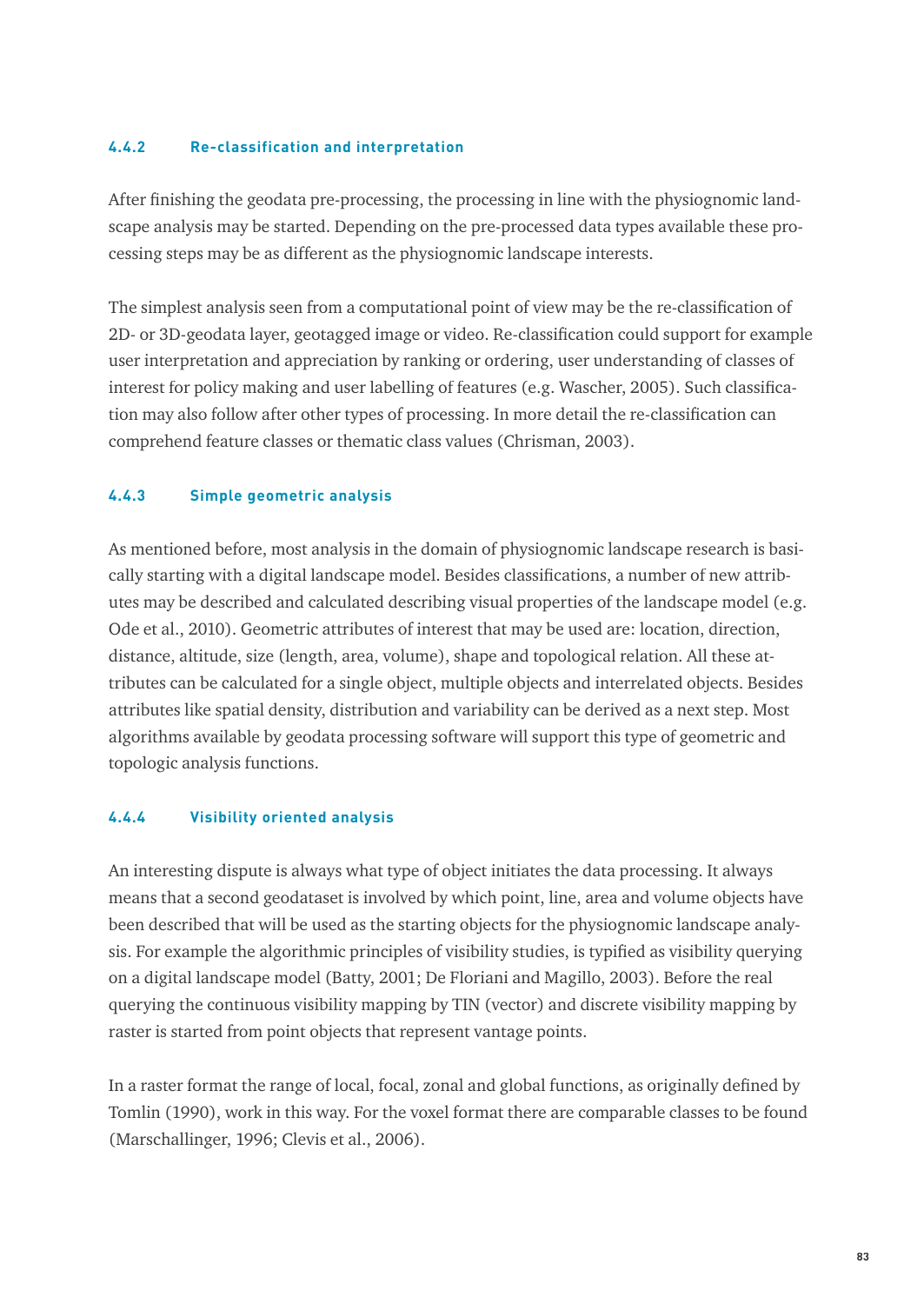# **4.4.2 Re-classification and interpretation**

After finishing the geodata pre-processing, the processing in line with the physiognomic landscape analysis may be started. Depending on the pre-processed data types available these processing steps may be as different as the physiognomic landscape interests.

The simplest analysis seen from a computational point of view may be the re-classification of 2D- or 3D-geodata layer, geotagged image or video. Re-classification could support for example user interpretation and appreciation by ranking or ordering, user understanding of classes of interest for policy making and user labelling of features (e.g. Wascher,  $2005$ ). Such classification may also follow after other types of processing. In more detail the re-classification can comprehend feature classes or thematic class values (Chrisman, 2003).

# **4.4.3 Simple geometric analysis**

As mentioned before, most analysis in the domain of physiognomic landscape research is basically starting with a digital landscape model. Besides classifications, a number of new attributes may be described and calculated describing visual properties of the landscape model (e.g. Ode et al., 2010). Geometric attributes of interest that may be used are: location, direction, distance, altitude, size (length, area, volume), shape and topological relation. All these attributes can be calculated for a single object, multiple objects and interrelated objects. Besides attributes like spatial density, distribution and variability can be derived as a next step. Most algorithms available by geodata processing software will support this type of geometric and topologic analysis functions.

## **4.4.4 Visibility oriented analysis**

An interesting dispute is always what type of object initiates the data processing. It always means that a second geodataset is involved by which point, line, area and volume objects have been described that will be used as the starting objects for the physiognomic landscape analysis. For example the algorithmic principles of visibility studies, is typified as visibility querying on a digital landscape model (Batty, 2001; De Floriani and Magillo, 2003). Before the real querying the continuous visibility mapping by TIN (vector) and discrete visibility mapping by raster is started from point objects that represent vantage points.

In a raster format the range of local, focal, zonal and global functions, as originally defined by Tomlin (1990), work in this way. For the voxel format there are comparable classes to be found (Marschallinger, 1996; Clevis et al., 2006).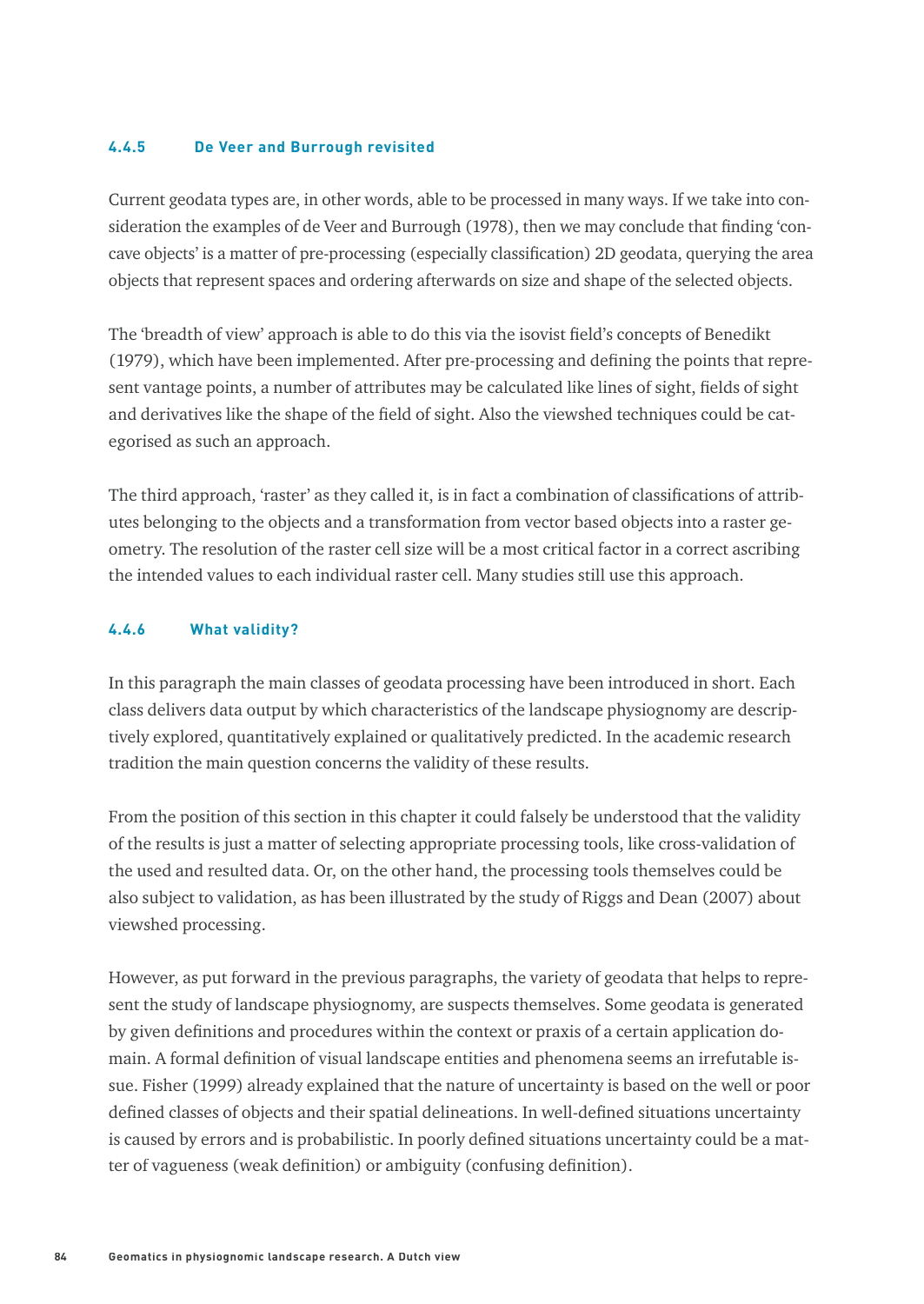# **4.4.5 De Veer and Burrough revisited**

Current geodata types are, in other words, able to be processed in many ways. If we take into consideration the examples of de Veer and Burrough (1978), then we may conclude that finding 'concave objects' is a matter of pre-processing (especially classification) 2D geodata, querying the area objects that represent spaces and ordering afterwards on size and shape of the selected objects.

The 'breadth of view' approach is able to do this via the isovist field's concepts of Benedikt (1979), which have been implemented. After pre-processing and defining the points that represent vantage points, a number of attributes may be calculated like lines of sight, fields of sight and derivatives like the shape of the field of sight. Also the viewshed techniques could be categorised as such an approach.

The third approach, 'raster' as they called it, is in fact a combination of classifications of attributes belonging to the objects and a transformation from vector based objects into a raster geometry. The resolution of the raster cell size will be a most critical factor in a correct ascribing the intended values to each individual raster cell. Many studies still use this approach.

# **4.4.6 What validity?**

In this paragraph the main classes of geodata processing have been introduced in short. Each class delivers data output by which characteristics of the landscape physiognomy are descriptively explored, quantitatively explained or qualitatively predicted. In the academic research tradition the main question concerns the validity of these results.

From the position of this section in this chapter it could falsely be understood that the validity of the results is just a matter of selecting appropriate processing tools, like cross-validation of the used and resulted data. Or, on the other hand, the processing tools themselves could be also subject to validation, as has been illustrated by the study of Riggs and Dean (2007) about viewshed processing.

However, as put forward in the previous paragraphs, the variety of geodata that helps to represent the study of landscape physiognomy, are suspects themselves. Some geodata is generated by given definitions and procedures within the context or praxis of a certain application domain. A formal definition of visual landscape entities and phenomena seems an irrefutable issue. Fisher (1999) already explained that the nature of uncertainty is based on the well or poor defined classes of objects and their spatial delineations. In well-defined situations uncertainty is caused by errors and is probabilistic. In poorly defined situations uncertainty could be a matter of vagueness (weak definition) or ambiguity (confusing definition).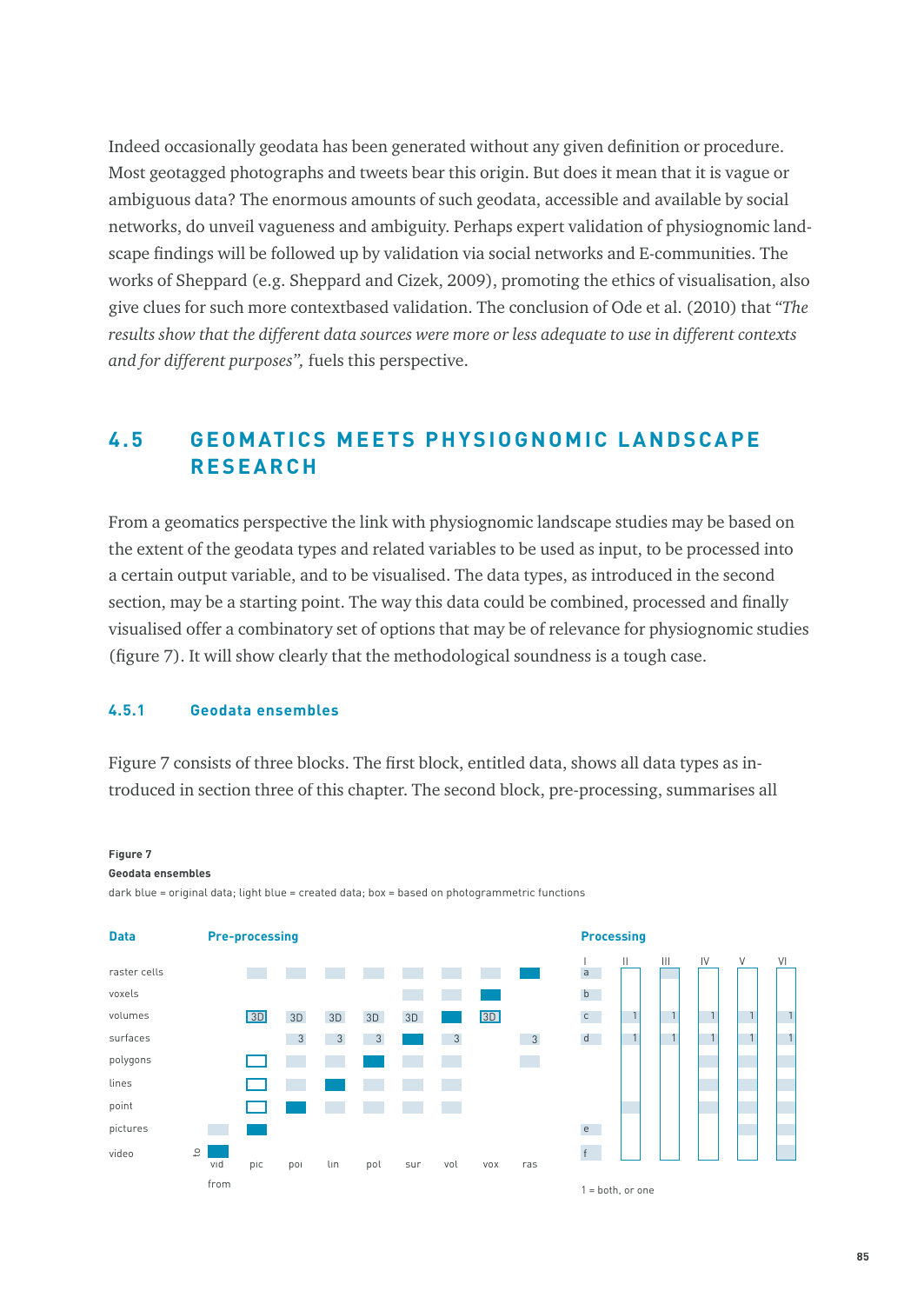Indeed occasionally geodata has been generated without any given definition or procedure. Most geotagged photographs and tweets bear this origin. But does it mean that it is vague or ambiguous data? The enormous amounts of such geodata, accessible and available by social networks, do unveil vagueness and ambiguity. Perhaps expert validation of physiognomic landscape findings will be followed up by validation via social networks and E-communities. The works of Sheppard (e.g. Sheppard and Cizek, 2009), promoting the ethics of visualisation, also give clues for such more contextbased validation. The conclusion of Ode et al. (2010) that *"The results show that the different data sources were more or less adequate to use in different contexts and for different purposes",* fuels this perspective.

# **4 . 5 G E O M AT I C S M E E T S P H Y S I O G N O M I C L A N D S C A P E RESEARCH**

From a geomatics perspective the link with physiognomic landscape studies may be based on the extent of the geodata types and related variables to be used as input, to be processed into a certain output variable, and to be visualised. The data types, as introduced in the second section, may be a starting point. The way this data could be combined, processed and finally visualised offer a combinatory set of options that may be of relevance for physiognomic studies (figure 7). It will show clearly that the methodological soundness is a tough case.

## **4.5.1 Geodata ensembles**

Figure 7 consists of three blocks. The first block, entitled data, shows all data types as introduced in section three of this chapter. The second block, pre-processing, summarises all

#### **Figure 7**

#### **Geodata ensembles**

dark blue = original data; light blue = created data; box = based on photogrammetric functions

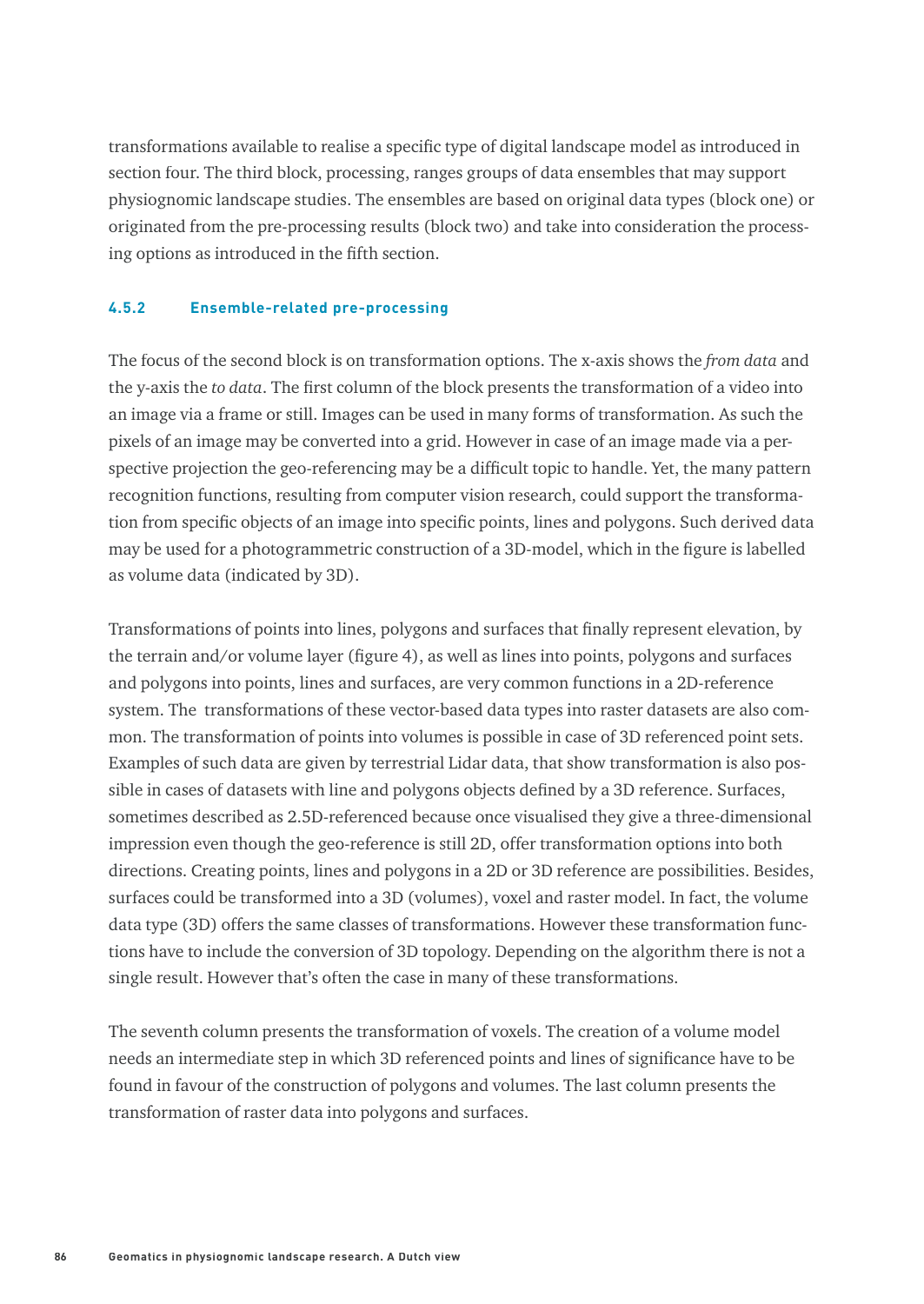transformations available to realise a specific type of digital landscape model as introduced in section four. The third block, processing, ranges groups of data ensembles that may support physiognomic landscape studies. The ensembles are based on original data types (block one) or originated from the pre-processing results (block two) and take into consideration the processing options as introduced in the fifth section.

# **4.5.2 Ensemble-related pre-processing**

The focus of the second block is on transformation options. The x-axis shows the *from data* and the y-axis the *to data*. The first column of the block presents the transformation of a video into an image via a frame or still. Images can be used in many forms of transformation. As such the pixels of an image may be converted into a grid. However in case of an image made via a perspective projection the geo-referencing may be a difficult topic to handle. Yet, the many pattern recognition functions, resulting from computer vision research, could support the transformation from specific objects of an image into specific points, lines and polygons. Such derived data may be used for a photogrammetric construction of a 3D-model, which in the figure is labelled as volume data (indicated by 3D).

Transformations of points into lines, polygons and surfaces that finally represent elevation, by the terrain and/or volume layer (figure 4), as well as lines into points, polygons and surfaces and polygons into points, lines and surfaces, are very common functions in a 2D-reference system. The transformations of these vector-based data types into raster datasets are also common. The transformation of points into volumes is possible in case of 3D referenced point sets. Examples of such data are given by terrestrial Lidar data, that show transformation is also possible in cases of datasets with line and polygons objects defined by a 3D reference. Surfaces, sometimes described as 2.5D-referenced because once visualised they give a three-dimensional impression even though the geo-reference is still 2D, offer transformation options into both directions. Creating points, lines and polygons in a 2D or 3D reference are possibilities. Besides, surfaces could be transformed into a 3D (volumes), voxel and raster model. In fact, the volume data type (3D) offers the same classes of transformations. However these transformation functions have to include the conversion of 3D topology. Depending on the algorithm there is not a single result. However that's often the case in many of these transformations.

The seventh column presents the transformation of voxels. The creation of a volume model needs an intermediate step in which 3D referenced points and lines of significance have to be found in favour of the construction of polygons and volumes. The last column presents the transformation of raster data into polygons and surfaces.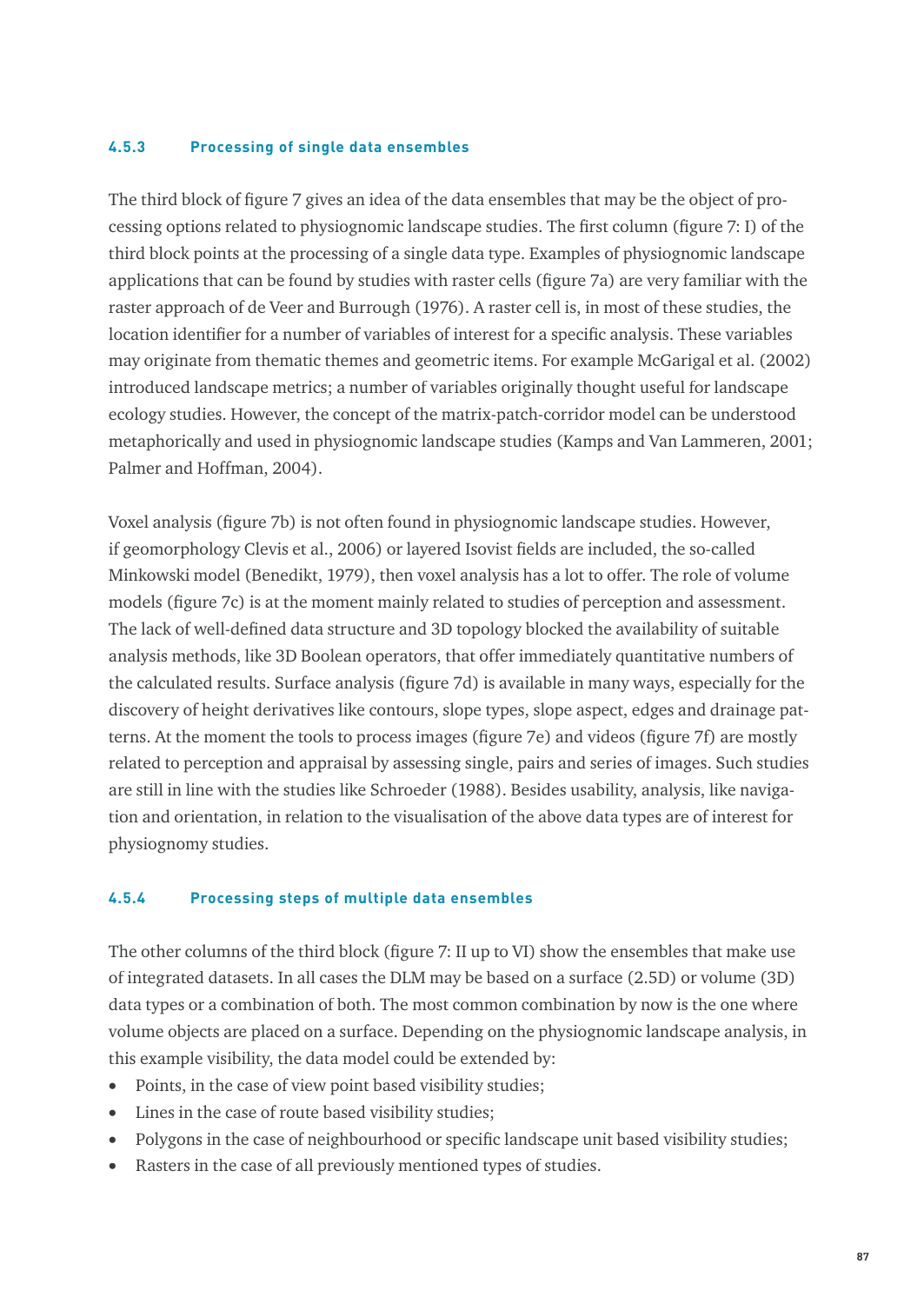# **4.5.3 Processing of single data ensembles**

The third block of figure 7 gives an idea of the data ensembles that may be the object of processing options related to physiognomic landscape studies. The first column (figure 7: I) of the third block points at the processing of a single data type. Examples of physiognomic landscape applications that can be found by studies with raster cells (figure 7a) are very familiar with the raster approach of de Veer and Burrough (1976). A raster cell is, in most of these studies, the location identifier for a number of variables of interest for a specific analysis. These variables may originate from thematic themes and geometric items. For example McGarigal et al. (2002) introduced landscape metrics; a number of variables originally thought useful for landscape ecology studies. However, the concept of the matrix-patch-corridor model can be understood metaphorically and used in physiognomic landscape studies (Kamps and Van Lammeren, 2001; Palmer and Hoffman, 2004).

Voxel analysis (figure 7b) is not often found in physiognomic landscape studies. However, if geomorphology Clevis et al., 2006) or layered Isovist fields are included, the so-called Minkowski model (Benedikt, 1979), then voxel analysis has a lot to offer. The role of volume models (figure 7c) is at the moment mainly related to studies of perception and assessment. The lack of well-defined data structure and 3D topology blocked the availability of suitable analysis methods, like 3D Boolean operators, that offer immediately quantitative numbers of the calculated results. Surface analysis (figure 7d) is available in many ways, especially for the discovery of height derivatives like contours, slope types, slope aspect, edges and drainage patterns. At the moment the tools to process images (figure 7e) and videos (figure 7f) are mostly related to perception and appraisal by assessing single, pairs and series of images. Such studies are still in line with the studies like Schroeder (1988). Besides usability, analysis, like navigation and orientation, in relation to the visualisation of the above data types are of interest for physiognomy studies.

# **4.5.4 Processing steps of multiple data ensembles**

The other columns of the third block (figure 7: II up to VI) show the ensembles that make use of integrated datasets. In all cases the DLM may be based on a surface (2.5D) or volume (3D) data types or a combination of both. The most common combination by now is the one where volume objects are placed on a surface. Depending on the physiognomic landscape analysis, in this example visibility, the data model could be extended by:

- Points, in the case of view point based visibility studies;
- Lines in the case of route based visibility studies;
- Polygons in the case of neighbourhood or specific landscape unit based visibility studies;
- Rasters in the case of all previously mentioned types of studies.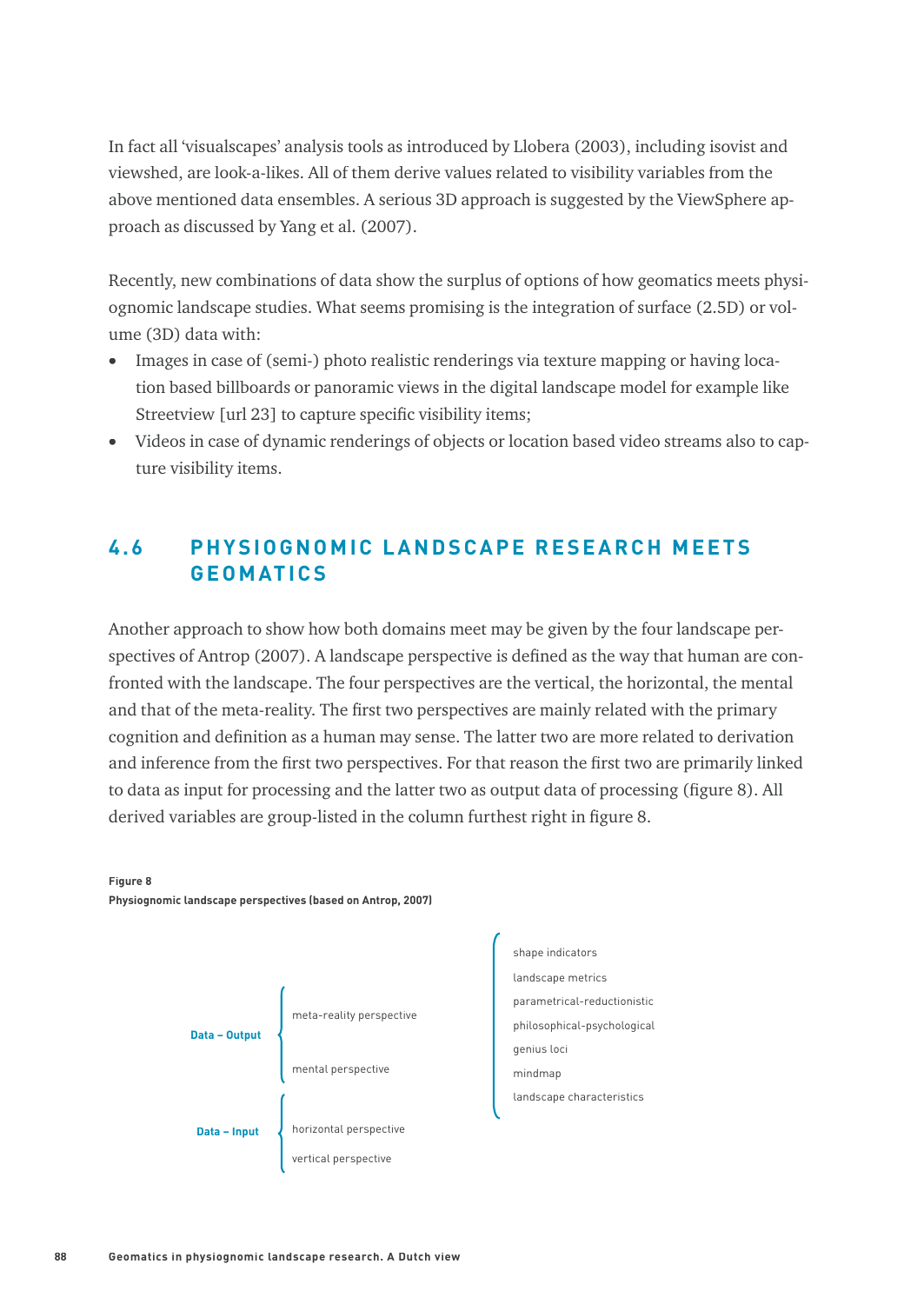In fact all 'visualscapes' analysis tools as introduced by Llobera (2003), including isovist and viewshed, are look-a-likes. All of them derive values related to visibility variables from the above mentioned data ensembles. A serious 3D approach is suggested by the ViewSphere approach as discussed by Yang et al. (2007).

Recently, new combinations of data show the surplus of options of how geomatics meets physiognomic landscape studies. What seems promising is the integration of surface (2.5D) or volume (3D) data with:

- Images in case of (semi-) photo realistic renderings via texture mapping or having location based billboards or panoramic views in the digital landscape model for example like Streetview [url 23] to capture specific visibility items;
- Videos in case of dynamic renderings of objects or location based video streams also to capture visibility items.

# **4 . 6 P H Y S I O G N O M I C L A N D S C A P E R E S E A R C H M E E T S G E O M AT I C S**

Another approach to show how both domains meet may be given by the four landscape perspectives of Antrop (2007). A landscape perspective is defined as the way that human are confronted with the landscape. The four perspectives are the vertical, the horizontal, the mental and that of the meta-reality. The first two perspectives are mainly related with the primary cognition and definition as a human may sense. The latter two are more related to derivation and inference from the first two perspectives. For that reason the first two are primarily linked to data as input for processing and the latter two as output data of processing (figure 8). All derived variables are group-listed in the column furthest right in figure 8.

**Figure 8 Physiognomic landscape perspectives (based on Antrop, 2007)**



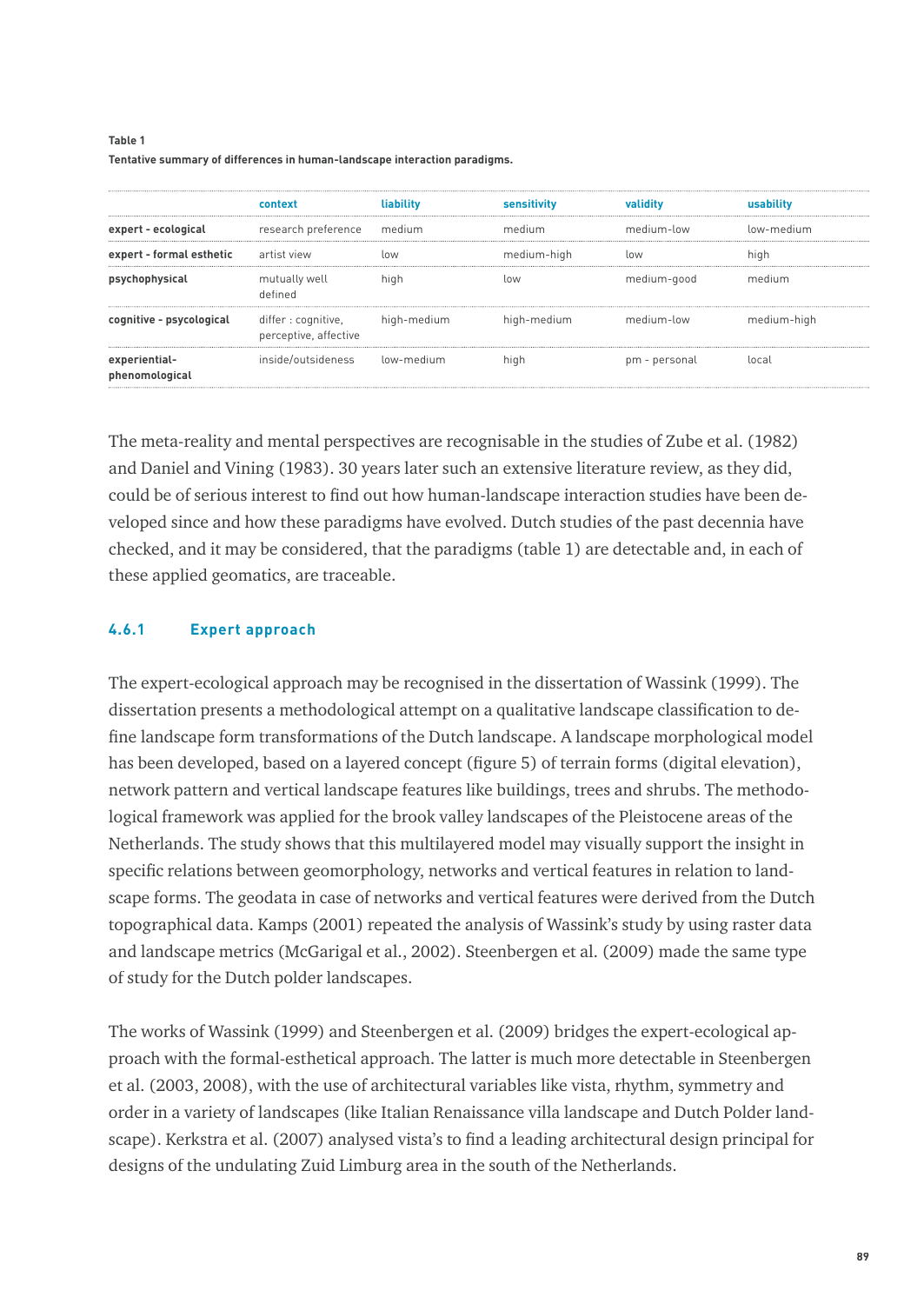#### **Table 1 Tentative summary of differences in human-landscape interaction paradigms.**

|                                 | context                                                 | liability   | sensitivity | validity      | usability   |
|---------------------------------|---------------------------------------------------------|-------------|-------------|---------------|-------------|
| expert - ecological             | research preference medium                              |             | medium      | medium-low    | low-medium  |
| expert - formal esthetic        | artist view                                             | $\bigcap M$ | medium-high | low           | hiah        |
| psychophysical                  | mutually well<br>defined                                | hiah        | lnw         | medium-good   | medium      |
| cognitive - psycological        | differ: cognitive, high-medium<br>perceptive, affective |             | high-medium | medium-low    | medium-high |
| experiential-<br>phenomological | inside/outsideness                                      | low-medium  | hiah        | pm - personal | loca        |
|                                 |                                                         |             |             |               |             |

The meta-reality and mental perspectives are recognisable in the studies of Zube et al. (1982) and Daniel and Vining (1983). 30 years later such an extensive literature review, as they did, could be of serious interest to find out how human-landscape interaction studies have been developed since and how these paradigms have evolved. Dutch studies of the past decennia have checked, and it may be considered, that the paradigms (table 1) are detectable and, in each of these applied geomatics, are traceable.

# **4.6.1 Expert approach**

The expert-ecological approach may be recognised in the dissertation of Wassink (1999). The dissertation presents a methodological attempt on a qualitative landscape classification to define landscape form transformations of the Dutch landscape. A landscape morphological model has been developed, based on a layered concept (figure 5) of terrain forms (digital elevation), network pattern and vertical landscape features like buildings, trees and shrubs. The methodological framework was applied for the brook valley landscapes of the Pleistocene areas of the Netherlands. The study shows that this multilayered model may visually support the insight in specific relations between geomorphology, networks and vertical features in relation to landscape forms. The geodata in case of networks and vertical features were derived from the Dutch topographical data. Kamps (2001) repeated the analysis of Wassink's study by using raster data and landscape metrics (McGarigal et al., 2002). Steenbergen et al. (2009) made the same type of study for the Dutch polder landscapes.

The works of Wassink (1999) and Steenbergen et al. (2009) bridges the expert-ecological approach with the formal-esthetical approach. The latter is much more detectable in Steenbergen et al. (2003, 2008), with the use of architectural variables like vista, rhythm, symmetry and order in a variety of landscapes (like Italian Renaissance villa landscape and Dutch Polder landscape). Kerkstra et al. (2007) analysed vista's to find a leading architectural design principal for designs of the undulating Zuid Limburg area in the south of the Netherlands.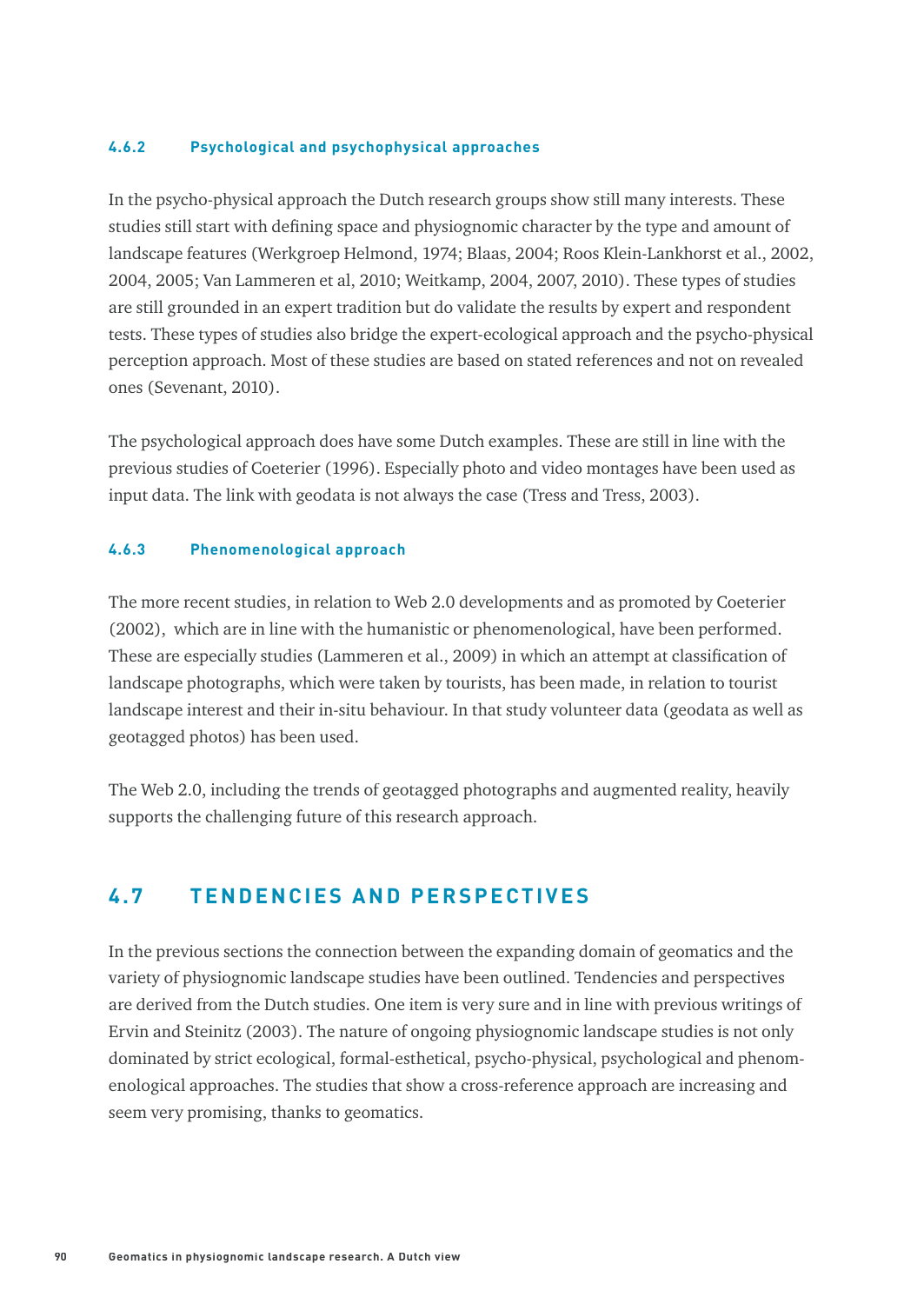# **4.6.2 Psychological and psychophysical approaches**

In the psycho-physical approach the Dutch research groups show still many interests. These studies still start with defining space and physiognomic character by the type and amount of landscape features (Werkgroep Helmond, 1974; Blaas, 2004; Roos Klein-Lankhorst et al., 2002, 2004, 2005; Van Lammeren et al, 2010; Weitkamp, 2004, 2007, 2010). These types of studies are still grounded in an expert tradition but do validate the results by expert and respondent tests. These types of studies also bridge the expert-ecological approach and the psycho-physical perception approach. Most of these studies are based on stated references and not on revealed ones (Sevenant, 2010).

The psychological approach does have some Dutch examples. These are still in line with the previous studies of Coeterier (1996). Especially photo and video montages have been used as input data. The link with geodata is not always the case (Tress and Tress, 2003).

# **4.6.3 Phenomenological approach**

The more recent studies, in relation to Web 2.0 developments and as promoted by Coeterier (2002), which are in line with the humanistic or phenomenological, have been performed. These are especially studies (Lammeren et al., 2009) in which an attempt at classification of landscape photographs, which were taken by tourists, has been made, in relation to tourist landscape interest and their in-situ behaviour. In that study volunteer data (geodata as well as geotagged photos) has been used.

The Web 2.0, including the trends of geotagged photographs and augmented reality, heavily supports the challenging future of this research approach.

# **4 . 7 T E N D E N C I E S A N D P E R S P E CT I V E S**

In the previous sections the connection between the expanding domain of geomatics and the variety of physiognomic landscape studies have been outlined. Tendencies and perspectives are derived from the Dutch studies. One item is very sure and in line with previous writings of Ervin and Steinitz (2003). The nature of ongoing physiognomic landscape studies is not only dominated by strict ecological, formal-esthetical, psycho-physical, psychological and phenomenological approaches. The studies that show a cross-reference approach are increasing and seem very promising, thanks to geomatics.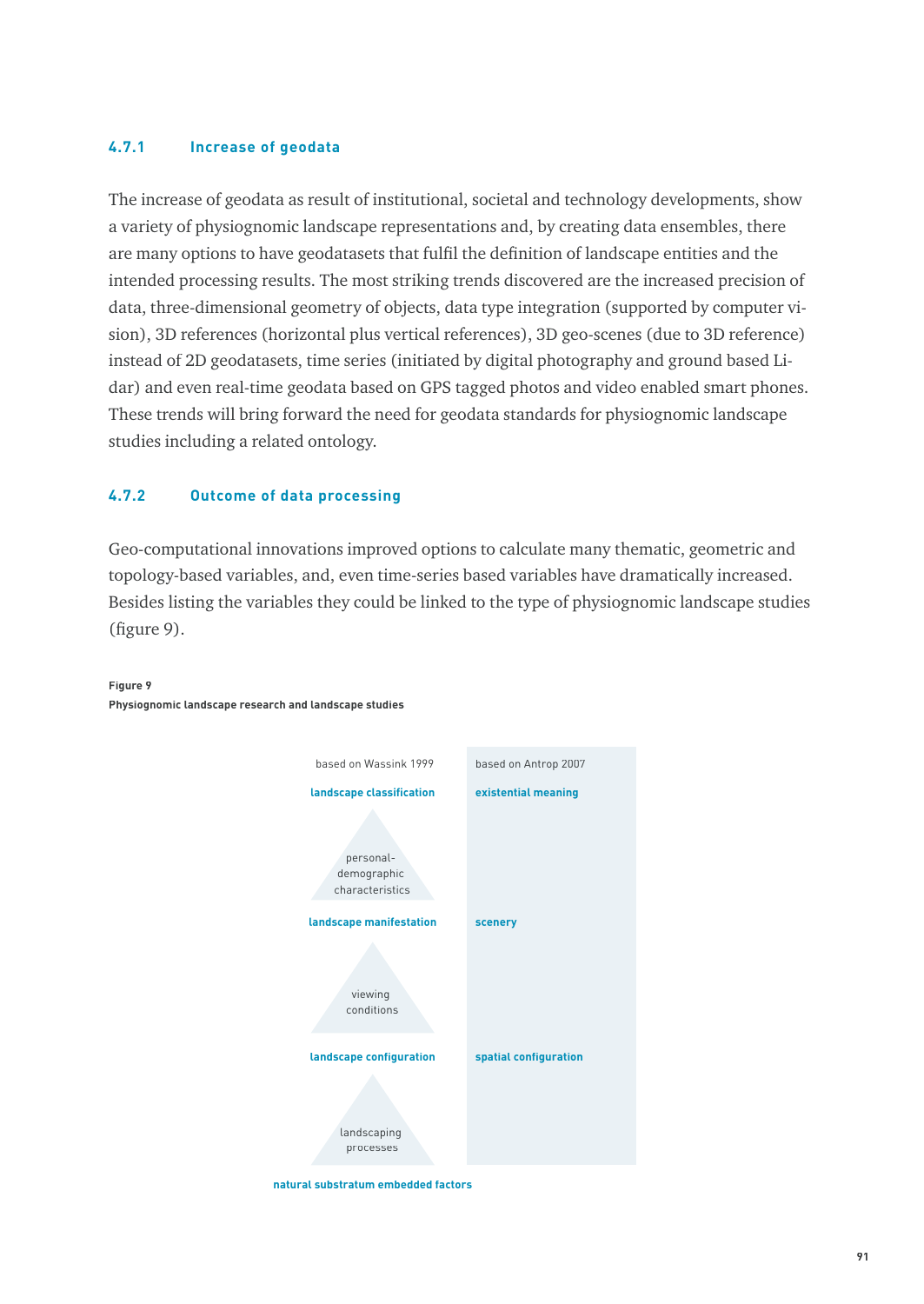## **4.7.1 Increase of geodata**

The increase of geodata as result of institutional, societal and technology developments, show a variety of physiognomic landscape representations and, by creating data ensembles, there are many options to have geodatasets that fulfil the definition of landscape entities and the intended processing results. The most striking trends discovered are the increased precision of data, three-dimensional geometry of objects, data type integration (supported by computer vision), 3D references (horizontal plus vertical references), 3D geo-scenes (due to 3D reference) instead of 2D geodatasets, time series (initiated by digital photography and ground based Lidar) and even real-time geodata based on GPS tagged photos and video enabled smart phones. These trends will bring forward the need for geodata standards for physiognomic landscape studies including a related ontology.

# **4.7.2 Outcome of data processing**

Geo-computational innovations improved options to calculate many thematic, geometric and topology-based variables, and, even time-series based variables have dramatically increased. Besides listing the variables they could be linked to the type of physiognomic landscape studies  $(figure 9)$ .



#### **Figure 9 Physiognomic landscape research and landscape studies**

**natural substratum embedded factors**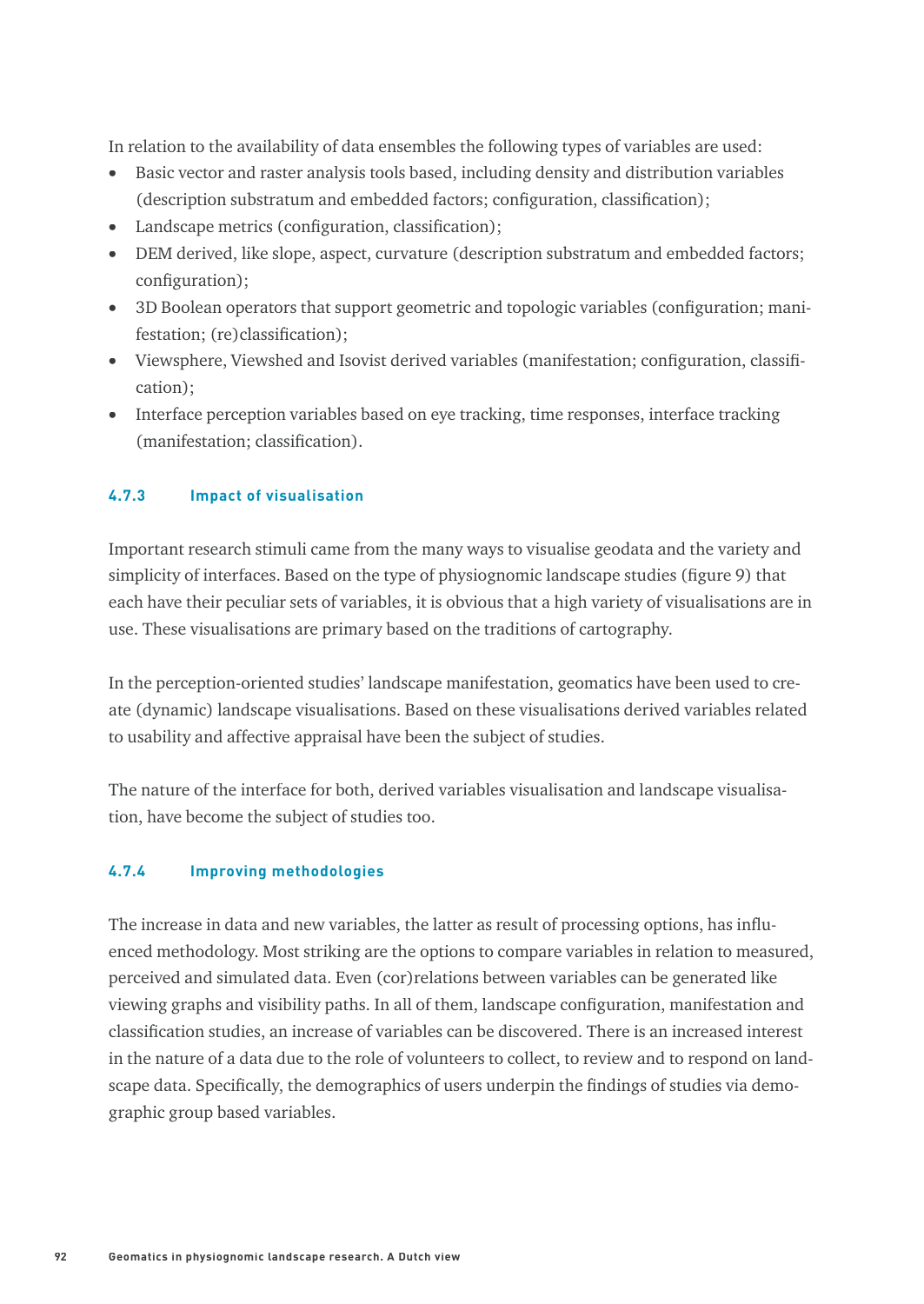In relation to the availability of data ensembles the following types of variables are used:

- Basic vector and raster analysis tools based, including density and distribution variables (description substratum and embedded factors; configuration, classification);
- Landscape metrics (configuration, classification);
- DEM derived, like slope, aspect, curvature (description substratum and embedded factors; configuration):
- 3D Boolean operators that support geometric and topologic variables (configuration; manifestation; (re)classification);
- Viewsphere, Viewshed and Isovist derived variables (manifestation; configuration, classification);
- Interface perception variables based on eye tracking, time responses, interface tracking (manifestation; classification).

# **4.7.3 Impact of visualisation**

Important research stimuli came from the many ways to visualise geodata and the variety and simplicity of interfaces. Based on the type of physiognomic landscape studies (figure 9) that each have their peculiar sets of variables, it is obvious that a high variety of visualisations are in use. These visualisations are primary based on the traditions of cartography.

In the perception-oriented studies' landscape manifestation, geomatics have been used to create (dynamic) landscape visualisations. Based on these visualisations derived variables related to usability and affective appraisal have been the subject of studies.

The nature of the interface for both, derived variables visualisation and landscape visualisation, have become the subject of studies too.

## **4.7.4 Improving methodologies**

The increase in data and new variables, the latter as result of processing options, has influenced methodology. Most striking are the options to compare variables in relation to measured, perceived and simulated data. Even (cor)relations between variables can be generated like viewing graphs and visibility paths. In all of them, landscape configuration, manifestation and classifi cation studies, an increase of variables can be discovered. There is an increased interest in the nature of a data due to the role of volunteers to collect, to review and to respond on landscape data. Specifically, the demographics of users underpin the findings of studies via demographic group based variables.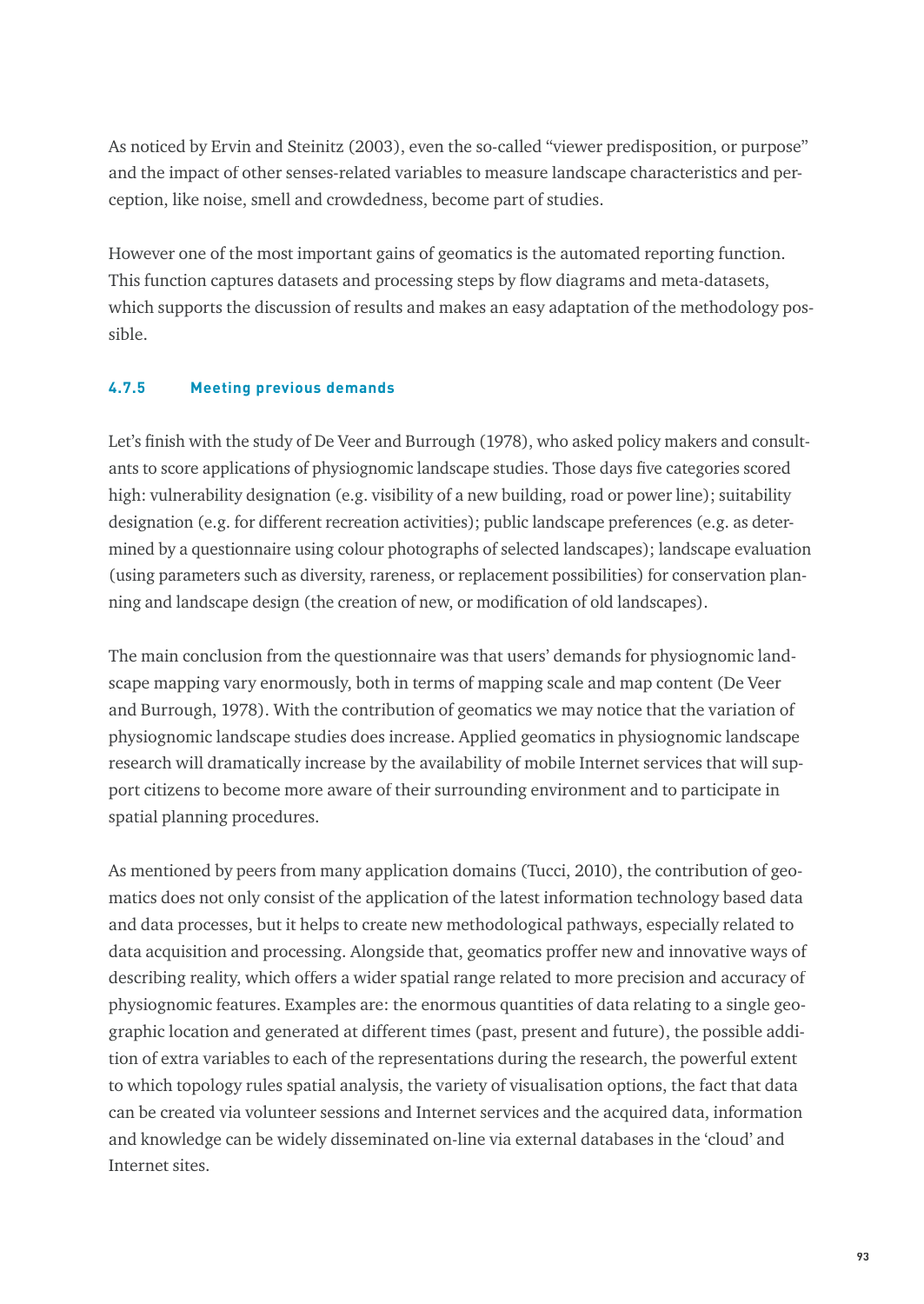As noticed by Ervin and Steinitz (2003), even the so-called "viewer predisposition, or purpose" and the impact of other senses-related variables to measure landscape characteristics and perception, like noise, smell and crowdedness, become part of studies.

However one of the most important gains of geomatics is the automated reporting function. This function captures datasets and processing steps by flow diagrams and meta-datasets, which supports the discussion of results and makes an easy adaptation of the methodology possible.

# **4.7.5 Meeting previous demands**

Let's finish with the study of De Veer and Burrough (1978), who asked policy makers and consultants to score applications of physiognomic landscape studies. Those days five categories scored high: vulnerability designation (e.g. visibility of a new building, road or power line); suitability designation (e.g. for different recreation activities); public landscape preferences (e.g. as determined by a questionnaire using colour photographs of selected landscapes); landscape evaluation (using parameters such as diversity, rareness, or replacement possibilities) for conservation planning and landscape design (the creation of new, or modification of old landscapes).

The main conclusion from the questionnaire was that users' demands for physiognomic landscape mapping vary enormously, both in terms of mapping scale and map content (De Veer and Burrough, 1978). With the contribution of geomatics we may notice that the variation of physiognomic landscape studies does increase. Applied geomatics in physiognomic landscape research will dramatically increase by the availability of mobile Internet services that will support citizens to become more aware of their surrounding environment and to participate in spatial planning procedures.

As mentioned by peers from many application domains (Tucci, 2010), the contribution of geomatics does not only consist of the application of the latest information technology based data and data processes, but it helps to create new methodological pathways, especially related to data acquisition and processing. Alongside that, geomatics proffer new and innovative ways of describing reality, which offers a wider spatial range related to more precision and accuracy of physiognomic features. Examples are: the enormous quantities of data relating to a single geographic location and generated at different times (past, present and future), the possible addition of extra variables to each of the representations during the research, the powerful extent to which topology rules spatial analysis, the variety of visualisation options, the fact that data can be created via volunteer sessions and Internet services and the acquired data, information and knowledge can be widely disseminated on-line via external databases in the 'cloud' and Internet sites.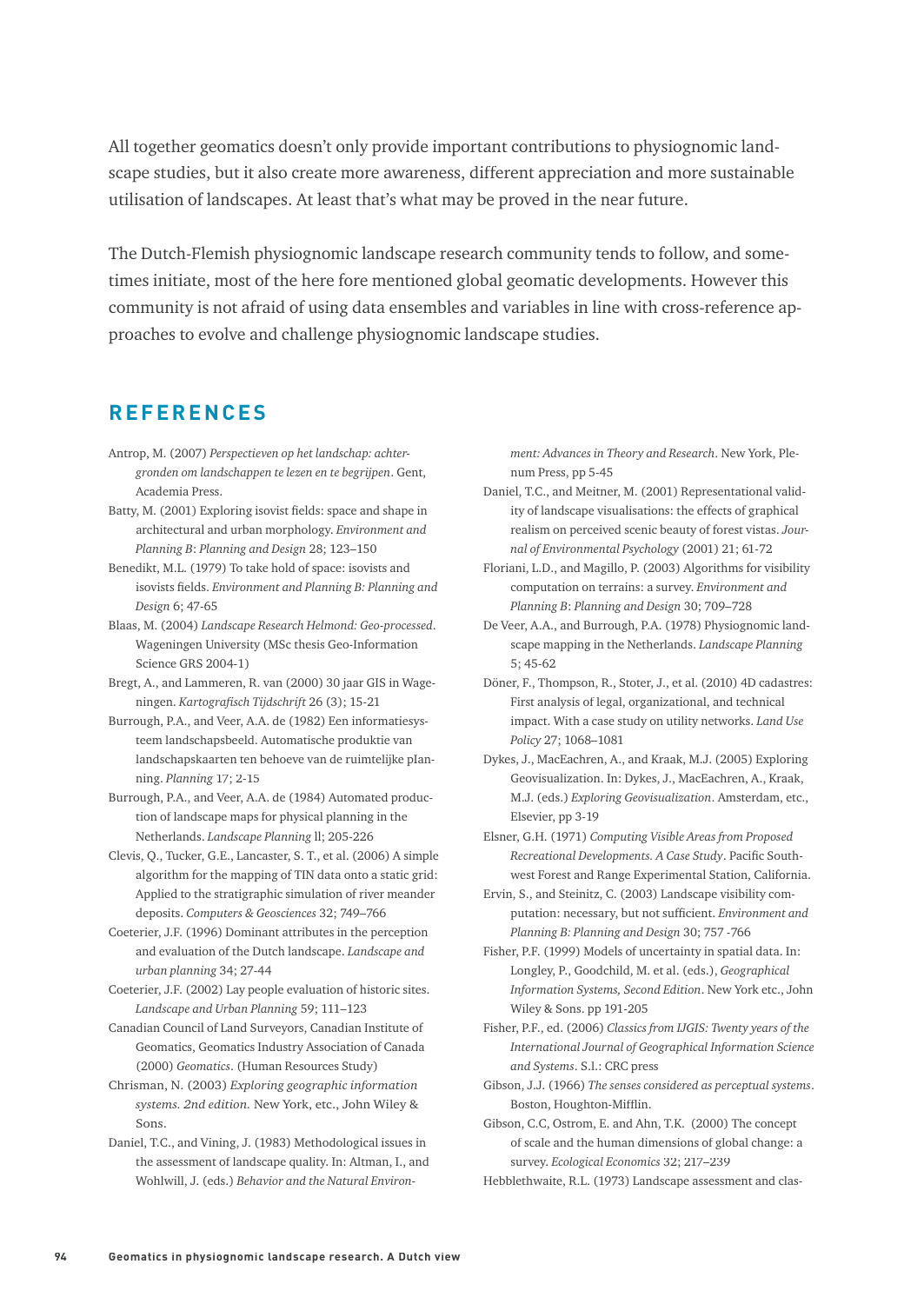All together geomatics doesn't only provide important contributions to physiognomic landscape studies, but it also create more awareness, different appreciation and more sustainable utilisation of landscapes. At least that's what may be proved in the near future.

The Dutch-Flemish physiognomic landscape research community tends to follow, and sometimes initiate, most of the here fore mentioned global geomatic developments. However this community is not afraid of using data ensembles and variables in line with cross-reference approaches to evolve and challenge physiognomic landscape studies.

# **REFERENCES**

- Antrop, M. (2007) *Perspectieven op het landschap: achtergronden om landschappen te lezen en te begrijpen*. Gent, Academia Press.
- Batty, M. (2001) Exploring isovist fields: space and shape in architectural and urban morphology. *Environment and Planning B*: *Planning and Design* 28; 123–150
- Benedikt, M.L. (1979) To take hold of space: isovists and isovists fields. *Environment and Planning B: Planning and Design* 6; 47-65
- Blaas, M. (2004) *Landscape Research Helmond: Geo-processed*. Wageningen University (MSc thesis Geo-Information Science GRS 2004-1)
- Bregt, A., and Lammeren, R. van (2000) 30 jaar GIS in Wageningen. Kartografisch Tijdschrift 26 (3); 15-21
- Burrough, P.A., and Veer, A.A. de (1982) Een informatiesysteem landschapsbeeld. Automatische produktie van landschapskaarten ten behoeve van de ruimtelijke pIanning. *Planning* 17; 2-15
- Burrough, P.A., and Veer, A.A. de (1984) Automated production of landscape maps for physical planning in the Netherlands. *Landscape Planning* ll; 205-226
- Clevis, Q., Tucker, G.E., Lancaster, S. T., et al. (2006) A simple algorithm for the mapping of TIN data onto a static grid: Applied to the stratigraphic simulation of river meander deposits. *Computers & Geosciences* 32; 749–766
- Coeterier, J.F. (1996) Dominant attributes in the perception and evaluation of the Dutch landscape. *Landscape and urban planning* 34; 27-44
- Coeterier, J.F. (2002) Lay people evaluation of historic sites. *Landscape and Urban Planning* 59; 111–123
- Canadian Council of Land Surveyors, Canadian Institute of Geomatics, Geomatics Industry Association of Canada (2000) *Geomatics*. (Human Resources Study)
- Chrisman, N. (2003) *Exploring geographic information systems. 2nd edition.* New York, etc., John Wiley & Sons.
- Daniel, T.C., and Vining, J. (1983) Methodological issues in the assessment of landscape quality. In: Altman, I., and Wohlwill, J. (eds.) *Behavior and the Natural Environ-*

*ment: Advances in Theory and Research*. New York, Plenum Press, pp 5-45

- Daniel, T.C., and Meitner, M. (2001) Representational validity of landscape visualisations: the effects of graphical realism on perceived scenic beauty of forest vistas. *Journal of Environmental Psychology* (2001) 21; 61-72
- Floriani, L.D., and Magillo, P. (2003) Algorithms for visibility computation on terrains: a survey. *Environment and Planning B*: *Planning and Design* 30; 709–728
- De Veer, A.A., and Burrough, P.A. (1978) Physiognomic landscape mapping in the Netherlands. *Landscape Planning*  5; 45-62
- Döner, F., Thompson, R., Stoter, J., et al. (2010) 4D cadastres: First analysis of legal, organizational, and technical impact. With a case study on utility networks. *Land Use Policy* 27; 1068–1081
- Dykes, J., MacEachren, A., and Kraak, M.J. (2005) Exploring Geovisualization. In: Dykes, J., MacEachren, A., Kraak, M.J. (eds.) *Exploring Geovisualization*. Amsterdam, etc., Elsevier, pp 3-19
- Elsner, G.H. (1971) *Computing Visible Areas from Proposed Recreational Developments. A Case Study*. Pacific Southwest Forest and Range Experimental Station, California.
- Ervin, S., and Steinitz, C. (2003) Landscape visibility computation: necessary, but not sufficient. *Environment and Planning B: Planning and Design* 30; 757 -766
- Fisher, P.F. (1999) Models of uncertainty in spatial data. In: Longley, P., Goodchild, M. et al. (eds.), *Geographical Information Systems, Second Edition*. New York etc., John Wiley & Sons. pp 191-205
- Fisher, P.F., ed. (2006) *Classics from IJGIS: Twenty years of the International Journal of Geographical Information Science and Systems*. S.l.: CRC press
- Gibson, J.J. (1966) *The senses considered as perceptual systems*. Boston, Houghton-Mifflin.
- Gibson, C.C, Ostrom, E. and Ahn, T.K. (2000) The concept of scale and the human dimensions of global change: a survey. *Ecological Economics* 32; 217–239
- Hebblethwaite, R.L. (1973) Landscape assessment and clas-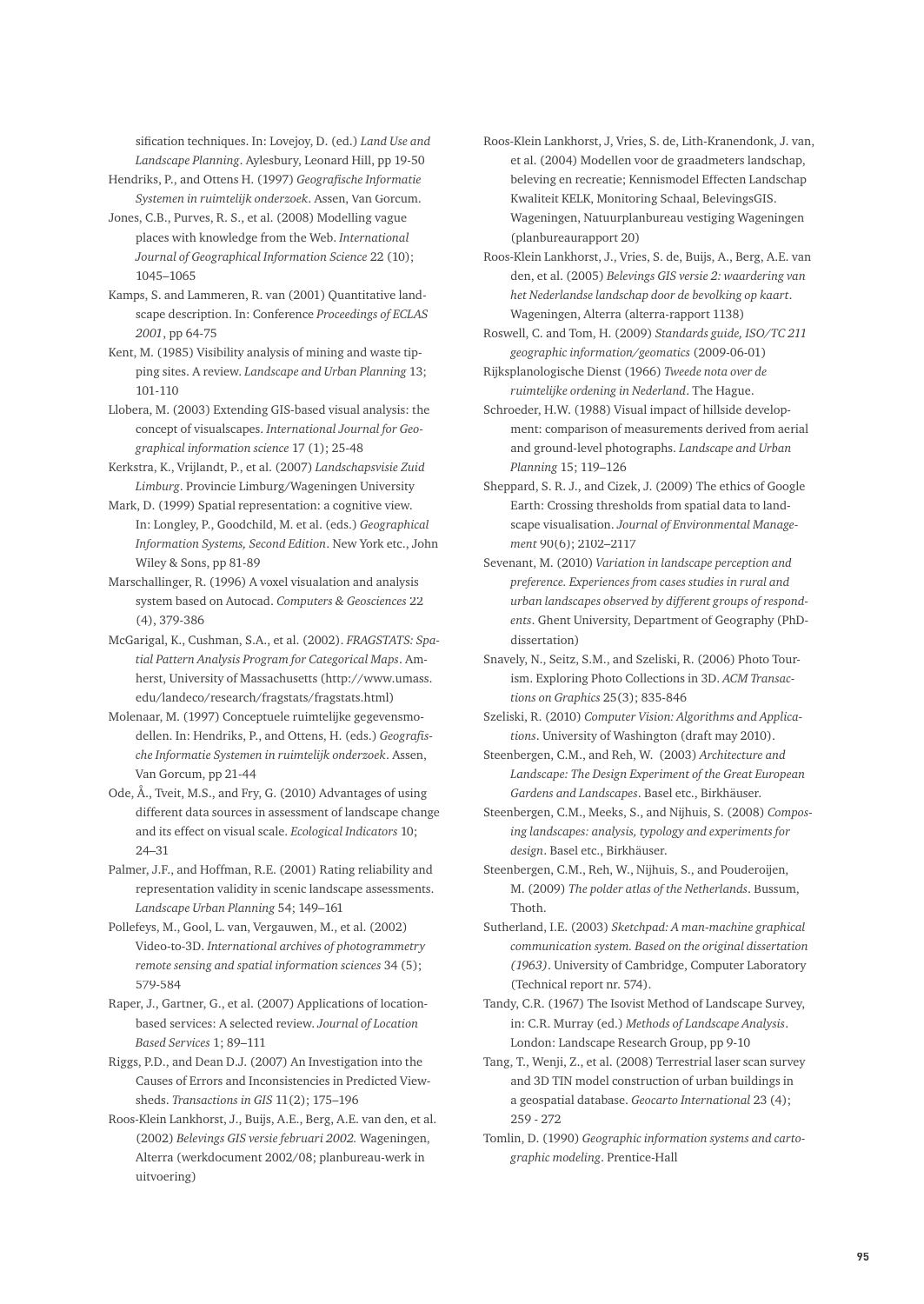sification techniques. In: Lovejoy, D. (ed.) *Land Use and Landscape Planning*. Aylesbury, Leonard Hill, pp 19-50

Hendriks, P., and Ottens H. (1997) *Geografische Informatie Systemen in ruimtelijk onderzoek*. Assen, Van Gorcum.

Jones, C.B., Purves, R. S., et al. (2008) Modelling vague places with knowledge from the Web. *International Journal of Geographical Information Science* 22 (10); 1045–1065

Kamps, S. and Lammeren, R. van (2001) Quantitative landscape description. In: Conference *Proceedings of ECLAS 2001*, pp 64-75

Kent, M. (1985) Visibility analysis of mining and waste tipping sites. A review. *Landscape and Urban Planning* 13; 101-110

Llobera, M. (2003) Extending GIS-based visual analysis: the concept of visualscapes. *International Journal for Geographical information science* 17 (1); 25-48

Kerkstra, K., Vrijlandt, P., et al. (2007) *Landschapsvisie Zuid Limburg*. Provincie Limburg/Wageningen University

Mark, D. (1999) Spatial representation: a cognitive view. In: Longley, P., Goodchild, M. et al. (eds.) *Geographical Information Systems, Second Edition*. New York etc., John Wiley & Sons, pp 81-89

Marschallinger, R. (1996) A voxel visualation and analysis system based on Autocad. *Computers & Geosciences* 22 (4), 379-386

McGarigal, K., Cushman, S.A., et al. (2002). *FRAGSTATS: Spatial Pattern Analysis Program for Categorical Maps*. Amherst, University of Massachusetts (http://www.umass. edu/landeco/research/fragstats/fragstats.html)

Molenaar, M. (1997) Conceptuele ruimtelijke gegevensmodellen. In: Hendriks, P., and Ottens, H. (eds.) *Geografische Informatie Systemen in ruimtelijk onderzoek*. Assen, Van Gorcum, pp 21-44

Ode, Å., Tveit, M.S., and Fry, G. (2010) Advantages of using different data sources in assessment of landscape change and its effect on visual scale. *Ecological Indicators* 10; 24–31

Palmer, J.F., and Hoffman, R.E. (2001) Rating reliability and representation validity in scenic landscape assessments. *Landscape Urban Planning* 54; 149–161

Pollefeys, M., Gool, L. van, Vergauwen, M., et al. (2002) Video-to-3D. *International archives of photogrammetry remote sensing and spatial information sciences* 34 (5); 579-584

Raper, J., Gartner, G., et al. (2007) Applications of locationbased services: A selected review. *Journal of Location Based Services* 1; 89–111

Riggs, P.D., and Dean D.J. (2007) An Investigation into the Causes of Errors and Inconsistencies in Predicted Viewsheds. *Transactions in GIS* 11(2); 175–196

Roos-Klein Lankhorst, J., Buijs, A.E., Berg, A.E. van den, et al. (2002) *Belevings GIS versie februari 2002.* Wageningen, Alterra (werkdocument 2002/08; planbureau-werk in uitvoering)

Roos-Klein Lankhorst, J, Vries, S. de, Lith-Kranendonk, J. van, et al. (2004) Modellen voor de graadmeters landschap, beleving en recreatie; Kennismodel Effecten Landschap Kwaliteit KELK, Monitoring Schaal, BelevingsGIS. Wageningen, Natuurplanbureau vestiging Wageningen (planbureaurapport 20)

Roos-Klein Lankhorst, J., Vries, S. de, Buijs, A., Berg, A.E. van den, et al. (2005) *Belevings GIS versie 2: waardering van het Nederlandse landschap door de bevolking op kaart*. Wageningen, Alterra (alterra-rapport 1138)

Roswell, C. and Tom, H. (2009) *Standards guide, ISO/TC 211 geographic information/geomatics* (2009-06-01)

Rijksplanologische Dienst (1966) *Tweede nota over de ruimtelijke ordening in Nederland*. The Hague.

Schroeder, H.W. (1988) Visual impact of hillside development: comparison of measurements derived from aerial and ground-level photographs. *Landscape and Urban Planning* 15; 119–126

Sheppard, S. R. J., and Cizek, J. (2009) The ethics of Google Earth: Crossing thresholds from spatial data to landscape visualisation. *Journal of Environmental Management* 90(6); 2102–2117

Sevenant, M. (2010) *Variation in landscape perception and preference. Experiences from cases studies in rural and urban landscapes observed by different groups of respondents*. Ghent University, Department of Geography (PhDdissertation)

Snavely, N., Seitz, S.M., and Szeliski, R. (2006) Photo Tourism. Exploring Photo Collections in 3D. *ACM Transactions on Graphics* 25(3); 835-846

Szeliski, R. (2010) *Computer Vision: Algorithms and Applications*. University of Washington (draft may 2010).

Steenbergen, C.M., and Reh, W. (2003) *Architecture and Landscape: The Design Experiment of the Great European Gardens and Landscapes*. Basel etc., Birkhäuser.

Steenbergen, C.M., Meeks, S., and Nijhuis, S. (2008) *Composing landscapes: analysis, typology and experiments for design*. Basel etc., Birkhäuser.

Steenbergen, C.M., Reh, W., Nijhuis, S., and Pouderoijen, M. (2009) *The polder atlas of the Netherlands*. Bussum, Thoth.

Sutherland, I.E. (2003) *Sketchpad: A man-machine graphical communication system. Based on the original dissertation (1963)*. University of Cambridge, Computer Laboratory (Technical report nr. 574).

Tandy, C.R. (1967) The Isovist Method of Landscape Survey, in: C.R. Murray (ed.) *Methods of Landscape Analysis*. London: Landscape Research Group, pp 9-10

Tang, T., Wenji, Z., et al. (2008) Terrestrial laser scan survey and 3D TIN model construction of urban buildings in a geospatial database. *Geocarto International* 23 (4); 259 - 272

Tomlin, D. (1990) *Geographic information systems and cartographic modeling*. Prentice-Hall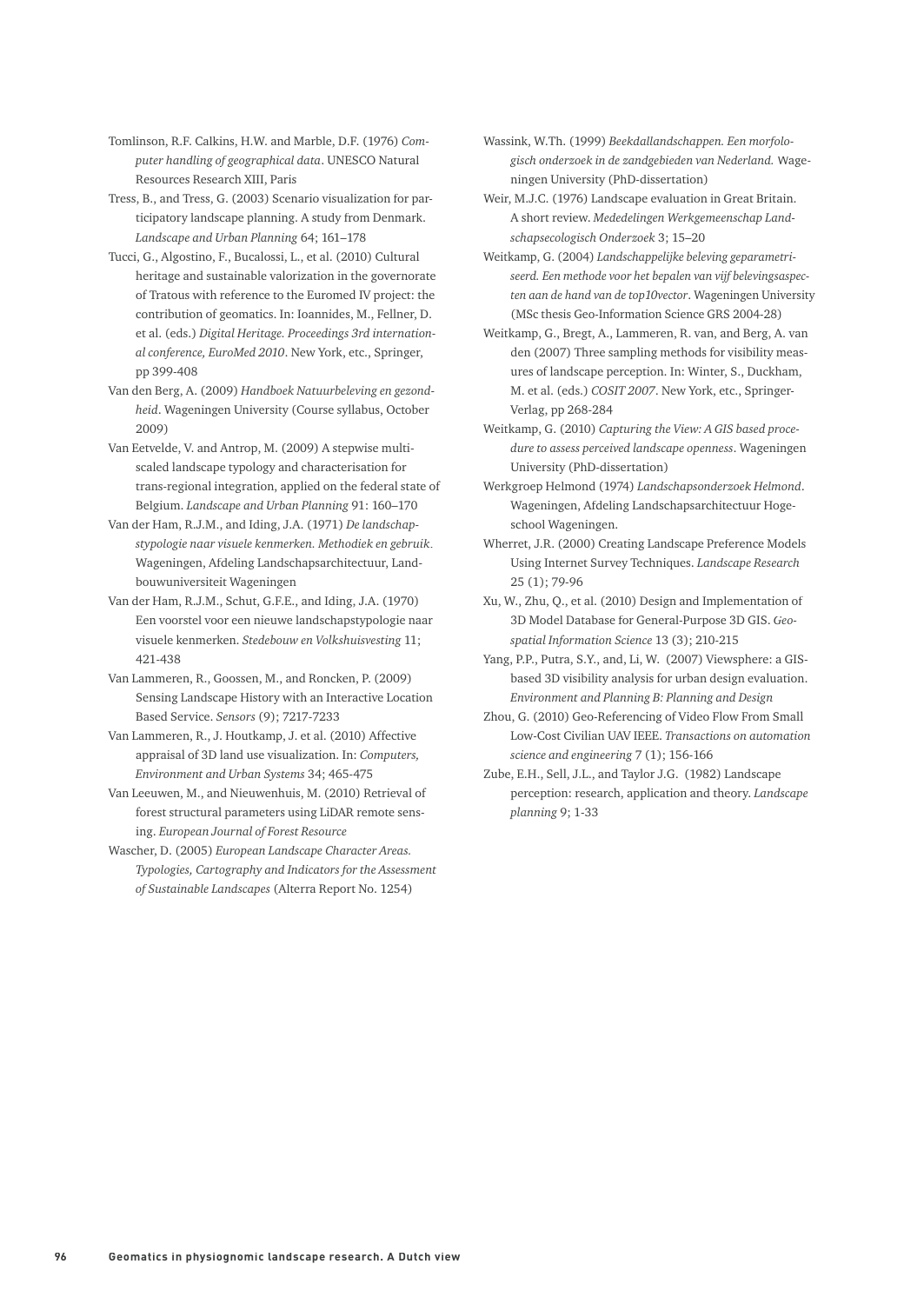Tomlinson, R.F. Calkins, H.W. and Marble, D.F. (1976) *Computer handling of geographical data*. UNESCO Natural Resources Research XIII, Paris

Tress, B., and Tress, G. (2003) Scenario visualization for participatory landscape planning. A study from Denmark. *Landscape and Urban Planning* 64; 161–178

Tucci, G., Algostino, F., Bucalossi, L., et al. (2010) Cultural heritage and sustainable valorization in the governorate of Tratous with reference to the Euromed IV project: the contribution of geomatics. In: Ioannides, M., Fellner, D. et al. (eds.) *Digital Heritage. Proceedings 3rd international conference, EuroMed 2010*. New York, etc., Springer, pp 399-408

Van den Berg, A. (2009) *Handboek Natuurbeleving en gezondheid*. Wageningen University (Course syllabus, October 2009)

Van Eetvelde, V. and Antrop, M. (2009) A stepwise multiscaled landscape typology and characterisation for trans-regional integration, applied on the federal state of Belgium. *Landscape and Urban Planning* 91: 160–170

Van der Ham, R.J.M., and Iding, J.A. (1971) *De landschapstypologie naar visuele kenmerken. Methodiek en gebruik*. Wageningen, Afdeling Landschapsarchitectuur, Landbouwuniversiteit Wageningen

Van der Ham, R.J.M., Schut, G.F.E., and Iding, J.A. (1970) Een voorstel voor een nieuwe landschapstypologie naar visuele kenmerken. *Stedebouw en Volkshuisvesting* 11; 421-438

Van Lammeren, R., Goossen, M., and Roncken, P. (2009) Sensing Landscape History with an Interactive Location Based Service. *Sensors* (9); 7217-7233

Van Lammeren, R., J. Houtkamp, J. et al. (2010) Affective appraisal of 3D land use visualization. In: *Computers, Environment and Urban Systems* 34; 465-475

Van Leeuwen, M., and Nieuwenhuis, M. (2010) Retrieval of forest structural parameters using LiDAR remote sensing. *European Journal of Forest Resource*

Wascher, D. (2005) *European Landscape Character Areas. Typologies, Cartography and Indicators for the Assessment of Sustainable Landscapes* (Alterra Report No. 1254)

Wassink, W.Th. (1999) *Beekdallandschappen. Een morfologisch onderzoek in de zandgebieden van Nederland.* Wageningen University (PhD-dissertation)

Weir, M.J.C. (1976) Landscape evaluation in Great Britain. A short review. *Mededelingen Werkgemeenschap Landschapsecologisch Onderzoek* 3; 15–20

Weitkamp, G. (2004) *Landschappelijke beleving geparametriseerd. Een methode voor het bepalen van vijf belevingsaspecten aan de hand van de top10vector*. Wageningen University (MSc thesis Geo-Information Science GRS 2004-28)

Weitkamp, G., Bregt, A., Lammeren, R. van, and Berg, A. van den (2007) Three sampling methods for visibility measures of landscape perception. In: Winter, S., Duckham, M. et al. (eds.) *COSIT 2007*. New York, etc., Springer-Verlag, pp 268-284

Weitkamp, G. (2010) *Capturing the View: A GIS based procedure to assess perceived landscape openness*. Wageningen University (PhD-dissertation)

Werkgroep Helmond (1974) *Landschapsonderzoek Helmond*. Wageningen, Afdeling Landschapsarchitectuur Hogeschool Wageningen.

Wherret, J.R. (2000) Creating Landscape Preference Models Using Internet Survey Techniques. *Landscape Research* 25 (1); 79-96

Xu, W., Zhu, Q., et al. (2010) Design and Implementation of 3D Model Database for General-Purpose 3D GIS. *Geospatial Information Science* 13 (3); 210-215

Yang, P.P., Putra, S.Y., and, Li, W. (2007) Viewsphere: a GISbased 3D visibility analysis for urban design evaluation. *Environment and Planning B: Planning and Design*

Zhou, G. (2010) Geo-Referencing of Video Flow From Small Low-Cost Civilian UAV IEEE. *Transactions on automation science and engineering* 7 (1); 156-166

Zube, E.H., Sell, J.L., and Taylor J.G. (1982) Landscape perception: research, application and theory. *Landscape planning* 9; 1-33